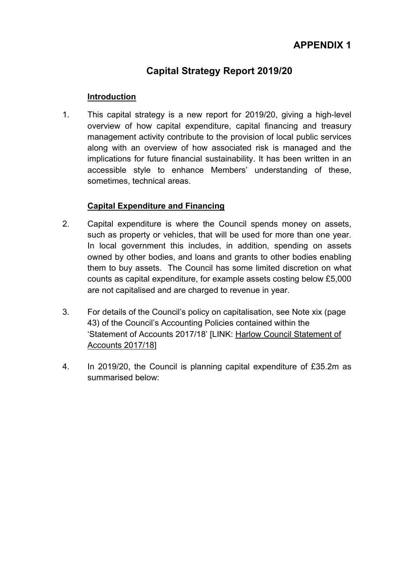# **Capital Strategy Report 2019/20**

# **Introduction**

1. This capital strategy is a new report for 2019/20, giving a high-level overview of how capital expenditure, capital financing and treasury management activity contribute to the provision of local public services along with an overview of how associated risk is managed and the implications for future financial sustainability. It has been written in an accessible style to enhance Members' understanding of these, sometimes, technical areas.

# **Capital Expenditure and Financing**

- 2. Capital expenditure is where the Council spends money on assets, such as property or vehicles, that will be used for more than one year. In local government this includes, in addition, spending on assets owned by other bodies, and loans and grants to other bodies enabling them to buy assets. The Council has some limited discretion on what counts as capital expenditure, for example assets costing below £5,000 are not capitalised and are charged to revenue in year.
- 3. For details of the Council's policy on capitalisation, see Note xix (page 43) of the Council's Accounting Policies contained within the 'Statement of Accounts 2017/18' [LINK: Harlow Council [Statement](https://www.harlow.gov.uk/sites/harlow-cms/files/files/documents/files/Statement%20of%20Accounts%202017-18%20v4.2%20As%20Published_0.pdf) of [Accounts](https://www.harlow.gov.uk/sites/harlow-cms/files/files/documents/files/Statement%20of%20Accounts%202017-18%20v4.2%20As%20Published_0.pdf) 2017/18]
- 4. In 2019/20, the Council is planning capital expenditure of £35.2m as summarised below: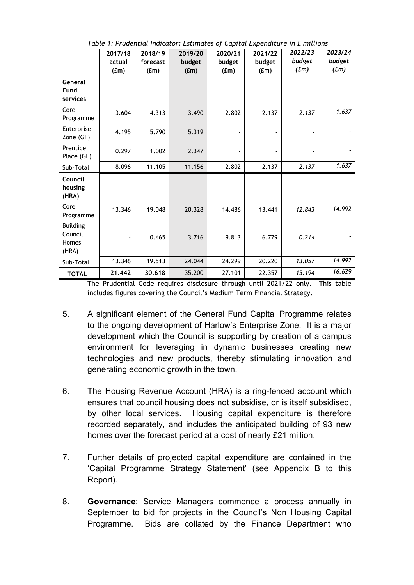|                                              | 2017/18<br>actual<br>(f.m) | 2018/19<br>forecast<br>(f.m) | 2019/20<br>budget<br>(fm) | 2020/21<br>budget<br>(f.m) | 2021/22<br>budget<br>(f.m) | 2022/23<br>budget<br>(f <sub>m</sub> ) | 2023/24<br>budget<br>(f <sub>m</sub> ) |
|----------------------------------------------|----------------------------|------------------------------|---------------------------|----------------------------|----------------------------|----------------------------------------|----------------------------------------|
| General<br>Fund<br>services                  |                            |                              |                           |                            |                            |                                        |                                        |
| Core<br>Programme                            | 3.604                      | 4.313                        | 3.490                     | 2.802                      | 2.137                      | 2.137                                  | 1.637                                  |
| Enterprise<br>Zone (GF)                      | 4.195                      | 5.790                        | 5.319                     |                            |                            |                                        |                                        |
| Prentice<br>Place (GF)                       | 0.297                      | 1.002                        | 2.347                     |                            |                            | ä,                                     |                                        |
| Sub-Total                                    | 8.096                      | 11.105                       | 11.156                    | 2.802                      | 2.137                      | 2.137                                  | 1.637                                  |
| Council<br>housing<br>(HRA)                  |                            |                              |                           |                            |                            |                                        |                                        |
| Core<br>Programme                            | 13.346                     | 19.048                       | 20.328                    | 14.486                     | 13.441                     | 12.843                                 | 14.992                                 |
| <b>Building</b><br>Council<br>Homes<br>(HRA) |                            | 0.465                        | 3.716                     | 9.813                      | 6.779                      | 0.214                                  |                                        |
| Sub-Total                                    | 13.346                     | 19.513                       | 24.044                    | 24.299                     | 20.220                     | 13.057                                 | 14.992                                 |
| <b>TOTAL</b>                                 | 21.442                     | 30,618                       | 35.200                    | 27.101                     | 22.357                     | 15.194                                 | 16.629                                 |

*Table 1: Prudential Indicator: Estimates of Capital Expenditure in £ millions*

The Prudential Code requires disclosure through until 2021/22 only. This table includes figures covering the Council's Medium Term Financial Strategy.

- 5. A significant element of the General Fund Capital Programme relates to the ongoing development of Harlow's Enterprise Zone. It is a major development which the Council is supporting by creation of a campus environment for leveraging in dynamic businesses creating new technologies and new products, thereby stimulating innovation and generating economic growth in the town.
- 6. The Housing Revenue Account (HRA) is a ring-fenced account which ensures that council housing does not subsidise, or is itself subsidised, by other local services. Housing capital expenditure is therefore recorded separately, and includes the anticipated building of 93 new homes over the forecast period at a cost of nearly £21 million.
- 7. Further details of projected capital expenditure are contained in the 'Capital Programme Strategy Statement' (see Appendix B to this Report).
- 8. **Governance**: Service Managers commence a process annually in September to bid for projects in the Council's Non Housing Capital Programme. Bids are collated by the Finance Department who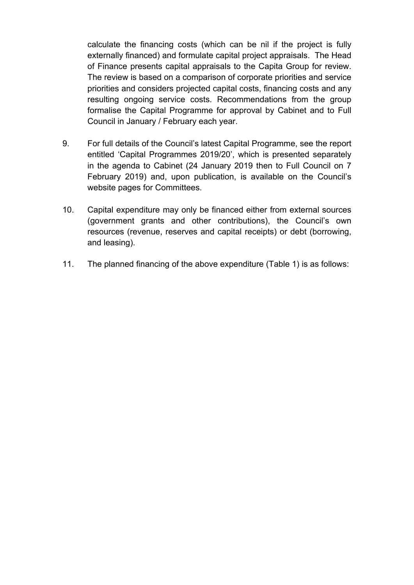calculate the financing costs (which can be nil if the project is fully externally financed) and formulate capital project appraisals. The Head of Finance presents capital appraisals to the Capita Group for review. The review is based on a comparison of corporate priorities and service priorities and considers projected capital costs, financing costs and any resulting ongoing service costs. Recommendations from the group formalise the Capital Programme for approval by Cabinet and to Full Council in January / February each year.

- 9. For full details of the Council's latest Capital Programme, see the report entitled 'Capital Programmes 2019/20', which is presented separately in the agenda to Cabinet (24 January 2019 then to Full Council on 7 February 2019) and, upon publication, is available on the Council's website pages for Committees.
- 10. Capital expenditure may only be financed either from external sources (government grants and other contributions), the Council's own resources (revenue, reserves and capital receipts) or debt (borrowing, and leasing).
- 11. The planned financing of the above expenditure (Table 1) is as follows: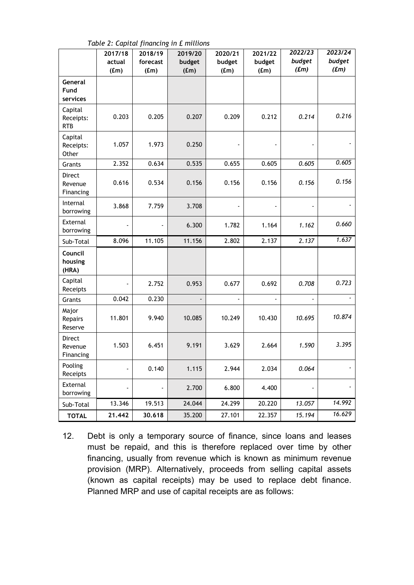|                                    | 2017/18<br>actual<br>(f.m) | 2018/19<br>forecast<br>(f.m) | 2019/20<br>budget<br>(f.m) | 2020/21<br>budget<br>(f.m) | 2021/22<br>budget<br>(fm) | 2022/23<br>budget<br>(f <sub>m</sub> ) | 2023/24<br>budget<br>$(f_m)$ |
|------------------------------------|----------------------------|------------------------------|----------------------------|----------------------------|---------------------------|----------------------------------------|------------------------------|
| General<br>Fund<br>services        |                            |                              |                            |                            |                           |                                        |                              |
| Capital<br>Receipts:<br><b>RTB</b> | 0.203                      | 0.205                        | 0.207                      | 0.209                      | 0.212                     | 0.214                                  | 0.216                        |
| Capital<br>Receipts:<br>Other      | 1.057                      | 1.973                        | 0.250                      |                            |                           |                                        |                              |
| Grants                             | 2.352                      | 0.634                        | 0.535                      | 0.655                      | 0.605                     | 0.605                                  | 0.605                        |
| Direct<br>Revenue<br>Financing     | 0.616                      | 0.534                        | 0.156                      | 0.156                      | 0.156                     | 0.156                                  | 0.156                        |
| Internal<br>borrowing              | 3.868                      | 7.759                        | 3.708                      |                            |                           |                                        |                              |
| External<br>borrowing              |                            |                              | 6.300                      | 1.782                      | 1.164                     | 1.162                                  | 0.660                        |
| Sub-Total                          | 8.096                      | 11.105                       | 11.156                     | 2.802                      | 2.137                     | 2.137                                  | 1.637                        |
| Council<br>housing<br>(HRA)        |                            |                              |                            |                            |                           |                                        |                              |
| Capital<br>Receipts                |                            | 2.752                        | 0.953                      | 0.677                      | 0.692                     | 0.708                                  | 0.723                        |
| Grants                             | 0.042                      | 0.230                        |                            | $\blacksquare$             | $\blacksquare$            | ÷,                                     |                              |
| Major<br>Repairs<br>Reserve        | 11.801                     | 9.940                        | 10.085                     | 10.249                     | 10.430                    | 10.695                                 | 10.874                       |
| Direct<br>Revenue<br>Financing     | 1.503                      | 6.451                        | 9.191                      | 3.629                      | 2.664                     | 1.590                                  | 3.395                        |
| Pooling<br>Receipts                | $\frac{1}{2}$              | 0.140                        | 1.115                      | 2.944                      | 2.034                     | 0.064                                  | $\overline{\phantom{a}}$     |
| External<br>borrowing              |                            |                              | 2.700                      | 6.800                      | 4.400                     |                                        |                              |
| Sub-Total                          | 13.346                     | 19.513                       | 24.044                     | 24.299                     | 20.220                    | 13.057                                 | 14.992                       |
| <b>TOTAL</b>                       | 21.442                     | 30.618                       | 35.200                     | 27.101                     | 22.357                    | 15.194                                 | 16.629                       |

*Table 2: Capital financing in £ millions*

12. Debt is only a temporary source of finance, since loans and leases must be repaid, and this is therefore replaced over time by other financing, usually from revenue which is known as minimum revenue provision (MRP). Alternatively, proceeds from selling capital assets (known as capital receipts) may be used to replace debt finance. Planned MRP and use of capital receipts are as follows: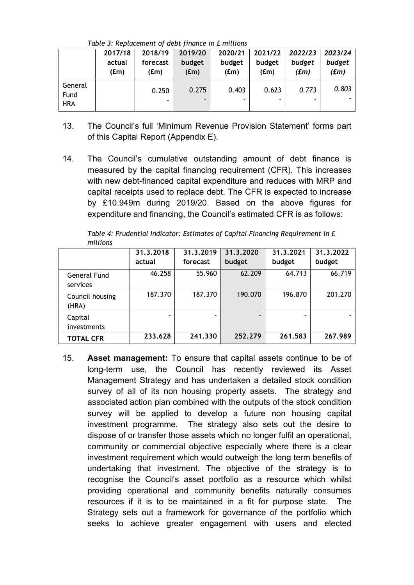*Table 3: Replacement of debt finance in £ millions*

|                               | 2017/18                 | 2018/19          | 2019/20        | 2020/21        | 2021/22        | 2022/23                     | 2023/24           |
|-------------------------------|-------------------------|------------------|----------------|----------------|----------------|-----------------------------|-------------------|
|                               | actual<br>$(\text{fm})$ | forecast<br>(fm) | budget<br>(fm) | budget<br>(fm) | budget<br>(fm) | budget<br>(f <sub>m</sub> ) | budget<br>$(f_m)$ |
| General<br>Fund<br><b>HRA</b> |                         | 0.250            | 0.275          | 0.403          | 0.623          | 0.773                       | 0.803             |

- 13. The Council's full 'Minimum Revenue Provision Statement' forms part of this Capital Report (Appendix E).
- 14. The Council's cumulative outstanding amount of debt finance is measured by the capital financing requirement (CFR). This increases with new debt-financed capital expenditure and reduces with MRP and capital receipts used to replace debt. The CFR is expected to increase by £10.949m during 2019/20. Based on the above figures for expenditure and financing, the Council's estimated CFR is as follows:

|                          | 31.3.2018<br>actual | 31.3.2019<br>forecast | 31.3.2020<br>budget      | 31.3.2021<br>budget | 31.3.2022<br>budget |
|--------------------------|---------------------|-----------------------|--------------------------|---------------------|---------------------|
| General Fund<br>services | 46.258              | 55.960                | 62.209                   | 64.713              | 66.719              |
| Council housing<br>(HRA) | 187.370             | 187.370               | 190.070                  | 196.870             | 201.270             |
| Capital<br>investments   |                     |                       | $\overline{\phantom{0}}$ | -                   |                     |
| <b>TOTAL CFR</b>         | 233,628             | 241.330               | 252.279                  | 261.583             | 267.989             |

*Table 4: Prudential Indicator: Estimates of Capital Financing Requirement in £ millions*

15. **Asset management:** To ensure that capital assets continue to be of long-term use, the Council has recently reviewed its Asset Management Strategy and has undertaken a detailed stock condition survey of all of its non housing property assets. The strategy and associated action plan combined with the outputs of the stock condition survey will be applied to develop a future non housing capital investment programme. The strategy also sets out the desire to dispose of or transfer those assets which no longer fulfil an operational, community or commercial objective especially where there is a clear investment requirement which would outweigh the long term benefits of undertaking that investment. The objective of the strategy is to recognise the Council's asset portfolio as a resource which whilst providing operational and community benefits naturally consumes resources if it is to be maintained in a fit for purpose state. The Strategy sets out a framework for governance of the portfolio which seeks to achieve greater engagement with users and elected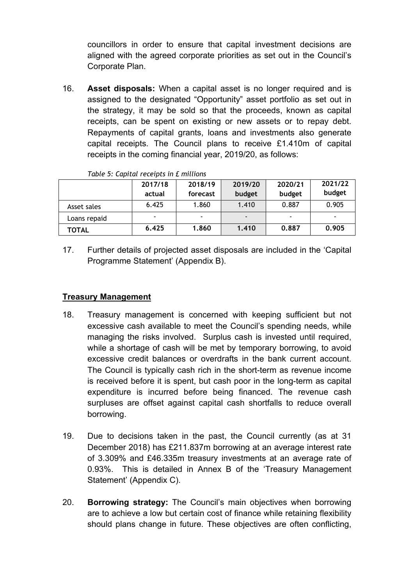councillors in order to ensure that capital investment decisions are aligned with the agreed corporate priorities as set out in the Council's Corporate Plan.

16. **Asset disposals:** When a capital asset is no longer required and is assigned to the designated "Opportunity" asset portfolio as set out in the strategy, it may be sold so that the proceeds, known as capital receipts, can be spent on existing or new assets or to repay debt. Repayments of capital grants, loans and investments also generate capital receipts. The Council plans to receive £1.410m of capital receipts in the coming financial year, 2019/20, as follows:

|              | 2017/18<br>actual | 2018/19<br>forecast | 2019/20<br>budget | 2020/21<br>budget | 2021/22<br>budget |
|--------------|-------------------|---------------------|-------------------|-------------------|-------------------|
| Asset sales  | 6.425             | 1.860               | 1.410             | 0.887             | 0.905             |
| Loans repaid |                   |                     |                   | ٠                 |                   |
| TOTAL        | 6.425             | 1.860               | 1.410             | 0.887             | 0.905             |

*Table 5: Capital receipts in £ millions*

17. Further details of projected asset disposals are included in the 'Capital Programme Statement' (Appendix B).

### **Treasury Management**

- 18. Treasury management is concerned with keeping sufficient but not excessive cash available to meet the Council's spending needs, while managing the risks involved. Surplus cash is invested until required, while a shortage of cash will be met by temporary borrowing, to avoid excessive credit balances or overdrafts in the bank current account. The Council is typically cash rich in the short-term as revenue income is received before it is spent, but cash poor in the long-term as capital expenditure is incurred before being financed. The revenue cash surpluses are offset against capital cash shortfalls to reduce overall borrowing.
- 19. Due to decisions taken in the past, the Council currently (as at 31 December 2018) has £211.837m borrowing at an average interest rate of 3.309% and £46.335m treasury investments at an average rate of 0.93%. This is detailed in Annex B of the 'Treasury Management Statement' (Appendix C).
- 20. **Borrowing strategy:** The Council's main objectives when borrowing are to achieve a low but certain cost of finance while retaining flexibility should plans change in future. These objectives are often conflicting,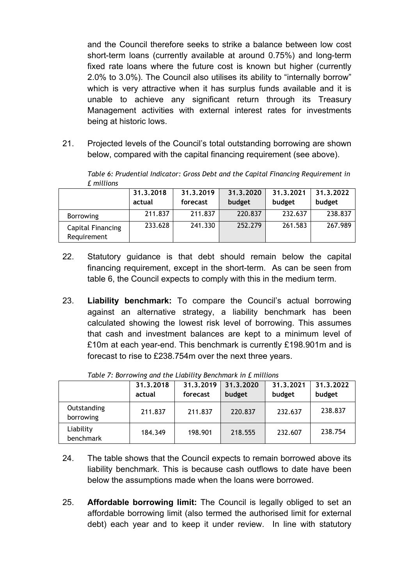and the Council therefore seeks to strike a balance between low cost short-term loans (currently available at around 0.75%) and long-term fixed rate loans where the future cost is known but higher (currently 2.0% to 3.0%). The Council also utilises its ability to "internally borrow" which is very attractive when it has surplus funds available and it is unable to achieve any significant return through its Treasury Management activities with external interest rates for investments being at historic lows.

21. Projected levels of the Council's total outstanding borrowing are shown below, compared with the capital financing requirement (see above).

|                                  | 31.3.2018<br>actual | 31.3.2019<br>forecast | 31.3.2020<br>budget | 31.3.2021<br>budget | 31.3.2022<br>budget |
|----------------------------------|---------------------|-----------------------|---------------------|---------------------|---------------------|
| <b>Borrowing</b>                 | 211.837             | 211.837               | 220.837             | 232.637             | 238.837             |
| Capital Financing<br>Requirement | 233.628             | 241.330               | 252.279             | 261.583             | 267.989             |

*Table 6: Prudential Indicator: Gross Debt and the Capital Financing Requirement in £ millions*

- 22. Statutory guidance is that debt should remain below the capital financing requirement, except in the short-term. As can be seen from table 6, the Council expects to comply with this in the medium term.
- 23. **Liability benchmark:** To compare the Council's actual borrowing against an alternative strategy, a liability benchmark has been calculated showing the lowest risk level of borrowing. This assumes that cash and investment balances are kept to a minimum level of £10m at each year-end. This benchmark is currently £198.901m and is forecast to rise to £238.754m over the next three years.

|                          | 31.3.2018<br>actual | 31.3.2019<br>forecast | 31.3.2020<br>budget | 31.3.2021<br>budget | 31.3.2022<br>budget |
|--------------------------|---------------------|-----------------------|---------------------|---------------------|---------------------|
| Outstanding<br>borrowing | 211.837             | 211.837               | 220.837             | 232.637             | 238.837             |
| Liability<br>benchmark   | 184,349             | 198.901               | 218.555             | 232.607             | 238.754             |

*Table 7: Borrowing and the Liability Benchmark in £ millions*

- 24. The table shows that the Council expects to remain borrowed above its liability benchmark. This is because cash outflows to date have been below the assumptions made when the loans were borrowed.
- 25. **Affordable borrowing limit:** The Council is legally obliged to set an affordable borrowing limit (also termed the authorised limit for external debt) each year and to keep it under review. In line with statutory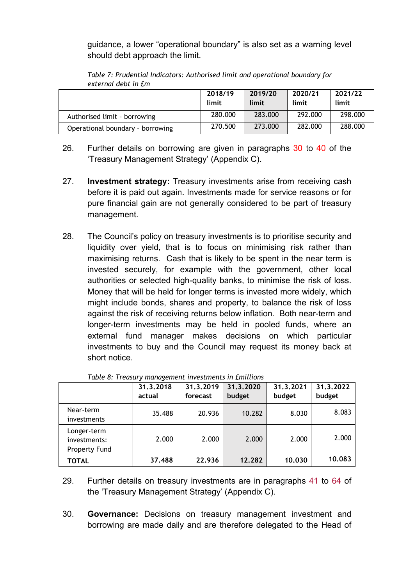guidance, a lower "operational boundary" is also set as a warning level should debt approach the limit.

|                                  | 2018/19<br>limit | 2019/20<br>limit | 2020/21<br>limit | 2021/22<br>limit |
|----------------------------------|------------------|------------------|------------------|------------------|
| Authorised limit - borrowing     | 280.000          | 283,000          | 292.000          | 298.000          |
| Operational boundary - borrowing | 270.500          | 273.000          | 282.000          | 288.000          |

*Table 7: Prudential Indicators: Authorised limit and operational boundary for external debt in £m*

- 26. Further details on borrowing are given in paragraphs 30 to 40 of the 'Treasury Management Strategy' (Appendix C).
- 27. **Investment strategy:** Treasury investments arise from receiving cash before it is paid out again. Investments made for service reasons or for pure financial gain are not generally considered to be part of treasury management.
- 28. The Council's policy on treasury investments is to prioritise security and liquidity over yield, that is to focus on minimising risk rather than maximising returns. Cash that is likely to be spent in the near term is invested securely, for example with the government, other local authorities or selected high-quality banks, to minimise the risk of loss. Money that will be held for longer terms is invested more widely, which might include bonds, shares and property, to balance the risk of loss against the risk of receiving returns below inflation. Both near-term and longer-term investments may be held in pooled funds, where an external fund manager makes decisions on which particular investments to buy and the Council may request its money back at short notice.

|                                              | 31.3.2018<br>actual | 31.3.2019<br>forecast | 31.3.2020<br>budget | 31.3.2021<br>budget | 31.3.2022<br>budget |
|----------------------------------------------|---------------------|-----------------------|---------------------|---------------------|---------------------|
| Near-term<br><i>investments</i>              | 35.488              | 20.936                | 10.282              | 8.030               | 8.083               |
| Longer-term<br>investments:<br>Property Fund | 2.000               | 2.000                 | 2.000               | 2.000               | 2.000               |
| TOTAL                                        | 37.488              | 22.936                | 12.282              | 10,030              | 10.083              |

|  | Table 8: Treasury management investments in Emillions |  |  |
|--|-------------------------------------------------------|--|--|
|  |                                                       |  |  |

- 29. Further details on treasury investments are in paragraphs 41 to 64 of the 'Treasury Management Strategy' (Appendix C).
- 30. **Governance:** Decisions on treasury management investment and borrowing are made daily and are therefore delegated to the Head of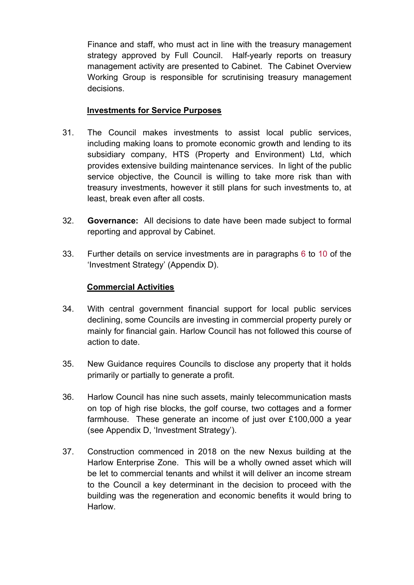Finance and staff, who must act in line with the treasury management strategy approved by Full Council. Half-yearly reports on treasury management activity are presented to Cabinet. The Cabinet Overview Working Group is responsible for scrutinising treasury management decisions.

### **Investments for Service Purposes**

- 31. The Council makes investments to assist local public services, including making loans to promote economic growth and lending to its subsidiary company, HTS (Property and Environment) Ltd, which provides extensive building maintenance services. In light of the public service objective, the Council is willing to take more risk than with treasury investments, however it still plans for such investments to, at least, break even after all costs.
- 32. **Governance:** All decisions to date have been made subject to formal reporting and approval by Cabinet.
- 33. Further details on service investments are in paragraphs 6 to 10 of the 'Investment Strategy' (Appendix D).

### **Commercial Activities**

- 34. With central government financial support for local public services declining, some Councils are investing in commercial property purely or mainly for financial gain. Harlow Council has not followed this course of action to date.
- 35. New Guidance requires Councils to disclose any property that it holds primarily or partially to generate a profit.
- 36. Harlow Council has nine such assets, mainly telecommunication masts on top of high rise blocks, the golf course, two cottages and a former farmhouse. These generate an income of just over £100,000 a year (see Appendix D, 'Investment Strategy').
- 37. Construction commenced in 2018 on the new Nexus building at the Harlow Enterprise Zone. This will be a wholly owned asset which will be let to commercial tenants and whilst it will deliver an income stream to the Council a key determinant in the decision to proceed with the building was the regeneration and economic benefits it would bring to **Harlow**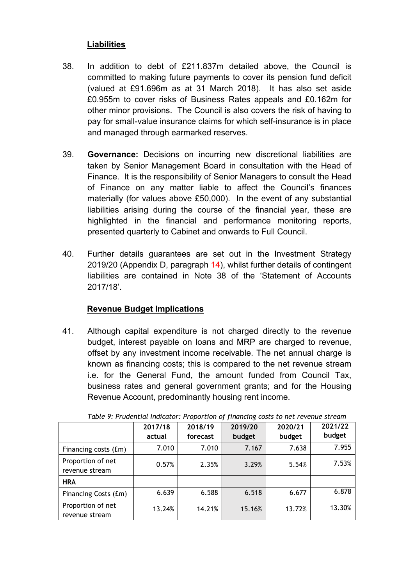# **Liabilities**

- 38. In addition to debt of £211.837m detailed above, the Council is committed to making future payments to cover its pension fund deficit (valued at £91.696m as at 31 March 2018). It has also set aside £0.955m to cover risks of Business Rates appeals and £0.162m for other minor provisions. The Council is also covers the risk of having to pay for small-value insurance claims for which self-insurance is in place and managed through earmarked reserves.
- 39. **Governance:** Decisions on incurring new discretional liabilities are taken by Senior Management Board in consultation with the Head of Finance. It is the responsibility of Senior Managers to consult the Head of Finance on any matter liable to affect the Council's finances materially (for values above £50,000). In the event of any substantial liabilities arising during the course of the financial year, these are highlighted in the financial and performance monitoring reports, presented quarterly to Cabinet and onwards to Full Council.
- 40. Further details guarantees are set out in the Investment Strategy 2019/20 (Appendix D, paragraph 14), whilst further details of contingent liabilities are contained in Note 38 of the 'Statement of Accounts 2017/18'.

# **Revenue Budget Implications**

41. Although capital expenditure is not charged directly to the revenue budget, interest payable on loans and MRP are charged to revenue, offset by any investment income receivable. The net annual charge is known as financing costs; this is compared to the net revenue stream i.e. for the General Fund, the amount funded from Council Tax, business rates and general government grants; and for the Housing Revenue Account, predominantly housing rent income.

|                                     | 2017/18<br>actual | 2018/19<br>forecast | 2019/20<br>budget | 2020/21<br>budget | 2021/22<br>budget |  |
|-------------------------------------|-------------------|---------------------|-------------------|-------------------|-------------------|--|
| Financing costs (£m)                | 7.010             | 7.010               | 7.167             | 7.638             | 7.955             |  |
| Proportion of net<br>revenue stream | 0.57%             | 2.35%               | 3.29%             | 5.54%             | 7.53%             |  |
| <b>HRA</b>                          |                   |                     |                   |                   |                   |  |
| Financing Costs (£m)                | 6.639             | 6.588               | 6.518             | 6.677             | 6.878             |  |
| Proportion of net<br>revenue stream | 13.24%            | 14.21%              | 15.16%            | 13.72%            | 13.30%            |  |

*Table 9: Prudential Indicator: Proportion of financing costs to net revenue stream*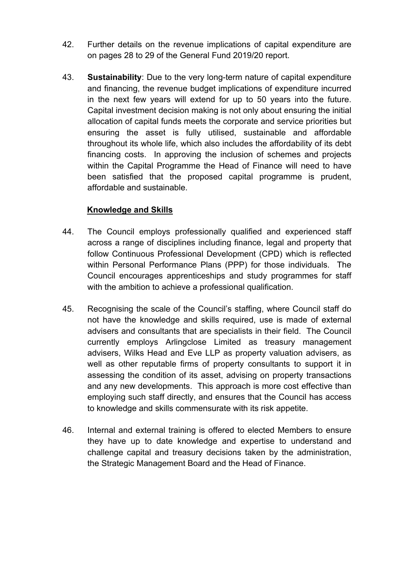- 42. Further details on the revenue implications of capital expenditure are on pages 28 to 29 of the General Fund 2019/20 report.
- 43. **Sustainability**: Due to the very long-term nature of capital expenditure and financing, the revenue budget implications of expenditure incurred in the next few years will extend for up to 50 years into the future. Capital investment decision making is not only about ensuring the initial allocation of capital funds meets the corporate and service priorities but ensuring the asset is fully utilised, sustainable and affordable throughout its whole life, which also includes the affordability of its debt financing costs. In approving the inclusion of schemes and projects within the Capital Programme the Head of Finance will need to have been satisfied that the proposed capital programme is prudent, affordable and sustainable.

# **Knowledge and Skills**

- 44. The Council employs professionally qualified and experienced staff across a range of disciplines including finance, legal and property that follow Continuous Professional Development (CPD) which is reflected within Personal Performance Plans (PPP) for those individuals. The Council encourages apprenticeships and study programmes for staff with the ambition to achieve a professional qualification.
- 45. Recognising the scale of the Council's staffing, where Council staff do not have the knowledge and skills required, use is made of external advisers and consultants that are specialists in their field. The Council currently employs Arlingclose Limited as treasury management advisers, Wilks Head and Eve LLP as property valuation advisers, as well as other reputable firms of property consultants to support it in assessing the condition of its asset, advising on property transactions and any new developments. This approach is more cost effective than employing such staff directly, and ensures that the Council has access to knowledge and skills commensurate with its risk appetite.
- 46. Internal and external training is offered to elected Members to ensure they have up to date knowledge and expertise to understand and challenge capital and treasury decisions taken by the administration, the Strategic Management Board and the Head of Finance.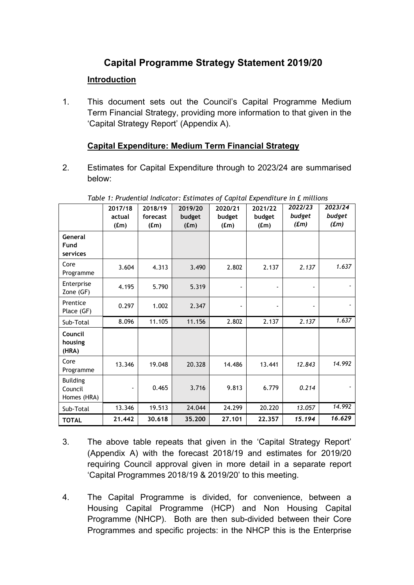# **Capital Programme Strategy Statement 2019/20**

# **Introduction**

1. This document sets out the Council's Capital Programme Medium Term Financial Strategy, providing more information to that given in the 'Capital Strategy Report' (Appendix A).

# **Capital Expenditure: Medium Term Financial Strategy**

2. Estimates for Capital Expenditure through to 2023/24 are summarised below:

|                                           | 2017/18<br>actual<br>(fm) | 2018/19<br>forecast<br>(fm) | 2019/20<br>budget<br>(f.m) | 2020/21<br>budget<br>(fm) | 2021/22<br>budget<br>(fm) | 2022/23<br>budget<br>(f <sub>m</sub> ) | 2023/24<br>budget<br>(f <sub>m</sub> ) |
|-------------------------------------------|---------------------------|-----------------------------|----------------------------|---------------------------|---------------------------|----------------------------------------|----------------------------------------|
| General<br>Fund<br>services               |                           |                             |                            |                           |                           |                                        |                                        |
| Core<br>Programme                         | 3.604                     | 4.313                       | 3.490                      | 2.802                     | 2.137                     | 2.137                                  | 1.637                                  |
| Enterprise<br>Zone (GF)                   | 4.195                     | 5.790                       | 5.319                      |                           |                           |                                        |                                        |
| Prentice<br>Place (GF)                    | 0.297                     | 1.002                       | 2.347                      |                           |                           |                                        |                                        |
| Sub-Total                                 | 8.096                     | 11.105                      | 11.156                     | 2.802                     | 2.137                     | 2.137                                  | 1.637                                  |
| Council<br>housing<br>(HRA)               |                           |                             |                            |                           |                           |                                        |                                        |
| Core<br>Programme                         | 13.346                    | 19.048                      | 20.328                     | 14.486                    | 13.441                    | 12.843                                 | 14.992                                 |
| <b>Building</b><br>Council<br>Homes (HRA) |                           | 0.465                       | 3.716                      | 9.813                     | 6.779                     | 0.214                                  |                                        |
| Sub-Total                                 | 13.346                    | 19.513                      | 24.044                     | 24.299                    | 20.220                    | 13.057                                 | 14.992                                 |
| <b>TOTAL</b>                              | 21.442                    | 30.618                      | 35.200                     | 27.101                    | 22.357                    | 15.194                                 | 16.629                                 |

*Table 1: Prudential Indicator: Estimates of Capital Expenditure in £ millions*

- 3. The above table repeats that given in the 'Capital Strategy Report' (Appendix A) with the forecast 2018/19 and estimates for 2019/20 requiring Council approval given in more detail in a separate report 'Capital Programmes 2018/19 & 2019/20' to this meeting.
- 4. The Capital Programme is divided, for convenience, between a Housing Capital Programme (HCP) and Non Housing Capital Programme (NHCP). Both are then sub-divided between their Core Programmes and specific projects: in the NHCP this is the Enterprise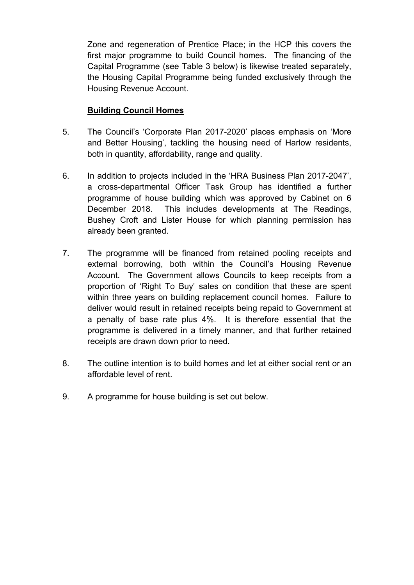Zone and regeneration of Prentice Place; in the HCP this covers the first major programme to build Council homes. The financing of the Capital Programme (see Table 3 below) is likewise treated separately, the Housing Capital Programme being funded exclusively through the Housing Revenue Account.

### **Building Council Homes**

- 5. The Council's 'Corporate Plan 2017-2020' places emphasis on 'More and Better Housing', tackling the housing need of Harlow residents, both in quantity, affordability, range and quality.
- 6. In addition to projects included in the 'HRA Business Plan 2017-2047', a cross-departmental Officer Task Group has identified a further programme of house building which was approved by Cabinet on 6 December 2018. This includes developments at The Readings, Bushey Croft and Lister House for which planning permission has already been granted.
- 7. The programme will be financed from retained pooling receipts and external borrowing, both within the Council's Housing Revenue Account. The Government allows Councils to keep receipts from a proportion of 'Right To Buy' sales on condition that these are spent within three years on building replacement council homes. Failure to deliver would result in retained receipts being repaid to Government at a penalty of base rate plus 4%. It is therefore essential that the programme is delivered in a timely manner, and that further retained receipts are drawn down prior to need.
- 8. The outline intention is to build homes and let at either social rent or an affordable level of rent.
- 9. A programme for house building is set out below.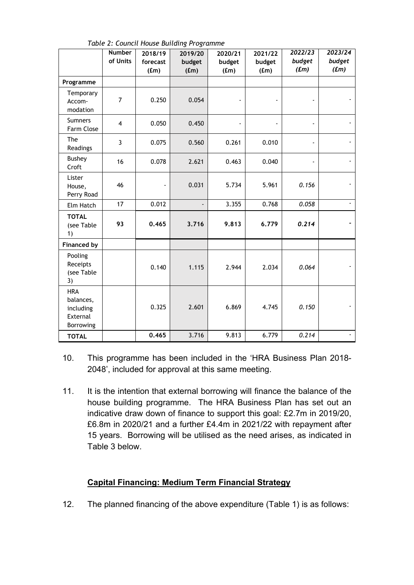|                                                               | <b>Number</b>  | 2018/19           | 2019/20         | 2020/21        | 2021/22        | 2022/23                     | 2023/24         |
|---------------------------------------------------------------|----------------|-------------------|-----------------|----------------|----------------|-----------------------------|-----------------|
|                                                               | of Units       | forecast<br>(f.m) | budget<br>(f.m) | budget<br>(fm) | budget<br>(fm) | budget<br>(f <sub>m</sub> ) | budget<br>(f.m) |
| Programme                                                     |                |                   |                 |                |                |                             |                 |
| Temporary<br>Accom-<br>modation                               | $\overline{7}$ | 0.250             | 0.054           |                |                |                             |                 |
| <b>Sumners</b><br>Farm Close                                  | $\overline{4}$ | 0.050             | 0.450           |                |                | $\blacksquare$              |                 |
| The<br>Readings                                               | $\overline{3}$ | 0.075             | 0.560           | 0.261          | 0.010          |                             |                 |
| <b>Bushey</b><br>Croft                                        | 16             | 0.078             | 2.621           | 0.463          | 0.040          | $\blacksquare$              |                 |
| Lister<br>House,<br>Perry Road                                | 46             |                   | 0.031           | 5.734          | 5.961          | 0.156                       |                 |
| Elm Hatch                                                     | 17             | 0.012             |                 | 3.355          | 0.768          | 0.058                       | $\blacksquare$  |
| <b>TOTAL</b><br>(see Table<br>1)                              | 93             | 0.465             | 3.716           | 9.813          | 6.779          | 0.214                       |                 |
| <b>Financed by</b>                                            |                |                   |                 |                |                |                             |                 |
| Pooling<br>Receipts<br>(see Table<br>3)                       |                | 0.140             | 1.115           | 2.944          | 2.034          | 0.064                       |                 |
| <b>HRA</b><br>balances,<br>including<br>External<br>Borrowing |                | 0.325             | 2.601           | 6.869          | 4.745          | 0.150                       |                 |
| <b>TOTAL</b>                                                  |                | 0.465             | 3.716           | 9.813          | 6.779          | 0.214                       | $\blacksquare$  |

*Table 2: Council House Building Programme*

- 10. This programme has been included in the 'HRA Business Plan 2018- 2048', included for approval at this same meeting.
- 11. It is the intention that external borrowing will finance the balance of the house building programme. The HRA Business Plan has set out an indicative draw down of finance to support this goal: £2.7m in 2019/20, £6.8m in 2020/21 and a further £4.4m in 2021/22 with repayment after 15 years. Borrowing will be utilised as the need arises, as indicated in Table 3 below.

### **Capital Financing: Medium Term Financial Strategy**

12. The planned financing of the above expenditure (Table 1) is as follows: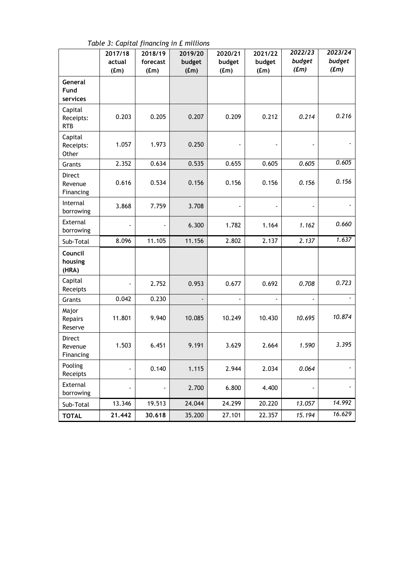|                                    | 2017/18<br>actual<br>(f.m) | 2018/19<br>forecast<br>(f.m) | 2019/20<br>budget<br>(f.m) | 2020/21<br>budget<br>(fm) | 2021/22<br>budget<br>(f.m) | 2022/23<br>budget<br>(f.m) | 2023/24<br>budget<br>(f.m) |
|------------------------------------|----------------------------|------------------------------|----------------------------|---------------------------|----------------------------|----------------------------|----------------------------|
| General<br>Fund<br>services        |                            |                              |                            |                           |                            |                            |                            |
| Capital<br>Receipts:<br><b>RTB</b> | 0.203                      | 0.205                        | 0.207                      | 0.209                     | 0.212                      | 0.214                      | 0.216                      |
| Capital<br>Receipts:<br>Other      | 1.057                      | 1.973                        | 0.250                      |                           |                            |                            |                            |
| Grants                             | 2.352                      | 0.634                        | 0.535                      | 0.655                     | 0.605                      | 0.605                      | 0.605                      |
| Direct<br>Revenue<br>Financing     | 0.616                      | 0.534                        | 0.156                      | 0.156                     | 0.156                      | 0.156                      | 0.156                      |
| Internal<br>borrowing              | 3.868                      | 7.759                        | 3.708                      |                           |                            |                            |                            |
| External<br>borrowing              |                            |                              | 6.300                      | 1.782                     | 1.164                      | 1.162                      | 0.660                      |
| Sub-Total                          | 8.096                      | 11.105                       | 11.156                     | 2.802                     | 2.137                      | 2.137                      | 1.637                      |
| Council<br>housing<br>(HRA)        |                            |                              |                            |                           |                            |                            |                            |
| Capital<br>Receipts                |                            | 2.752                        | 0.953                      | 0.677                     | 0.692                      | 0.708                      | 0.723                      |
| Grants                             | 0.042                      | 0.230                        |                            | $\blacksquare$            |                            | $\blacksquare$             |                            |
| Major<br>Repairs<br>Reserve        | 11.801                     | 9.940                        | 10.085                     | 10.249                    | 10.430                     | 10.695                     | 10.874                     |
| Direct<br>Revenue<br>Financing     | 1.503                      | 6.451                        | 9.191                      | 3.629                     | 2.664                      | 1.590                      | 3.395                      |
| Pooling<br>Receipts                |                            | 0.140                        | 1.115                      | 2.944                     | 2.034                      | 0.064                      |                            |
| External<br>borrowing              |                            |                              | 2.700                      | 6.800                     | 4.400                      |                            |                            |
| Sub-Total                          | 13.346                     | 19.513                       | 24.044                     | 24.299                    | 20.220                     | 13.057                     | 14.992                     |
| <b>TOTAL</b>                       | 21.442                     | 30.618                       | 35.200                     | 27.101                    | 22.357                     | 15.194                     | 16.629                     |

*Table 3: Capital financing in £ millions*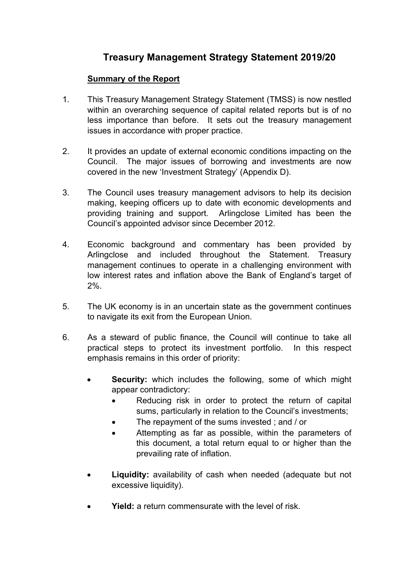# **Treasury Management Strategy Statement 2019/20**

# **Summary of the Report**

- 1. This Treasury Management Strategy Statement (TMSS) is now nestled within an overarching sequence of capital related reports but is of no less importance than before. It sets out the treasury management issues in accordance with proper practice.
- 2. It provides an update of external economic conditions impacting on the Council. The major issues of borrowing and investments are now covered in the new 'Investment Strategy' (Appendix D).
- 3. The Council uses treasury management advisors to help its decision making, keeping officers up to date with economic developments and providing training and support. Arlingclose Limited has been the Council's appointed advisor since December 2012.
- 4. Economic background and commentary has been provided by Arlingclose and included throughout the Statement. Treasury management continues to operate in a challenging environment with low interest rates and inflation above the Bank of England's target of 2%.
- 5. The UK economy is in an uncertain state as the government continues to navigate its exit from the European Union.
- 6. As a steward of public finance, the Council will continue to take all practical steps to protect its investment portfolio. In this respect emphasis remains in this order of priority:
	- **Security:** which includes the following, some of which might appear contradictory:
		- Reducing risk in order to protect the return of capital sums, particularly in relation to the Council's investments;
		- The repayment of the sums invested; and / or
		- Attempting as far as possible, within the parameters of this document, a total return equal to or higher than the prevailing rate of inflation.
	- **Liquidity:** availability of cash when needed (adequate but not excessive liquidity).
	- **Yield:** a return commensurate with the level of risk.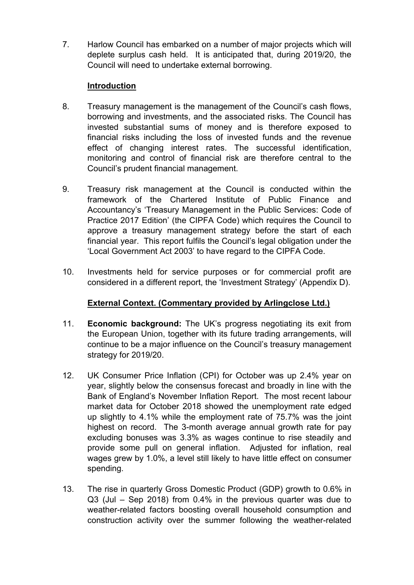7. Harlow Council has embarked on a number of major projects which will deplete surplus cash held. It is anticipated that, during 2019/20, the Council will need to undertake external borrowing.

### **Introduction**

- 8. Treasury management is the management of the Council's cash flows, borrowing and investments, and the associated risks. The Council has invested substantial sums of money and is therefore exposed to financial risks including the loss of invested funds and the revenue effect of changing interest rates. The successful identification, monitoring and control of financial risk are therefore central to the Council's prudent financial management.
- 9. Treasury risk management at the Council is conducted within the framework of the Chartered Institute of Public Finance and Accountancy's 'Treasury Management in the Public Services: Code of Practice 2017 Edition' (the CIPFA Code) which requires the Council to approve a treasury management strategy before the start of each financial year. This report fulfils the Council's legal obligation under the 'Local Government Act 2003' to have regard to the CIPFA Code.
- 10. Investments held for service purposes or for commercial profit are considered in a different report, the 'Investment Strategy' (Appendix D).

# **External Context. (Commentary provided by Arlingclose Ltd.)**

- 11. **Economic background:** The UK's progress negotiating its exit from the European Union, together with its future trading arrangements, will continue to be a major influence on the Council's treasury management strategy for 2019/20.
- 12. UK Consumer Price Inflation (CPI) for October was up 2.4% year on year, slightly below the consensus forecast and broadly in line with the Bank of England's November Inflation Report. The most recent labour market data for October 2018 showed the unemployment rate edged up slightly to 4.1% while the employment rate of 75.7% was the joint highest on record. The 3-month average annual growth rate for pay excluding bonuses was 3.3% as wages continue to rise steadily and provide some pull on general inflation. Adjusted for inflation, real wages grew by 1.0%, a level still likely to have little effect on consumer spending.
- 13. The rise in quarterly Gross Domestic Product (GDP) growth to 0.6% in Q3 (Jul – Sep 2018) from 0.4% in the previous quarter was due to weather-related factors boosting overall household consumption and construction activity over the summer following the weather-related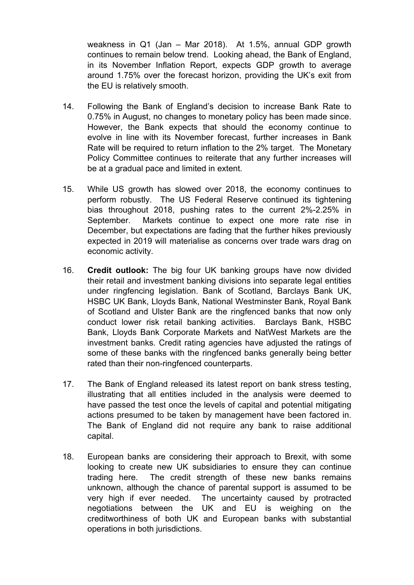weakness in Q1 (Jan – Mar 2018). At 1.5%, annual GDP growth continues to remain below trend. Looking ahead, the Bank of England, in its November Inflation Report, expects GDP growth to average around 1.75% over the forecast horizon, providing the UK's exit from the EU is relatively smooth.

- 14. Following the Bank of England's decision to increase Bank Rate to 0.75% in August, no changes to monetary policy has been made since. However, the Bank expects that should the economy continue to evolve in line with its November forecast, further increases in Bank Rate will be required to return inflation to the 2% target. The Monetary Policy Committee continues to reiterate that any further increases will be at a gradual pace and limited in extent.
- 15. While US growth has slowed over 2018, the economy continues to perform robustly. The US Federal Reserve continued its tightening bias throughout 2018, pushing rates to the current 2%-2.25% in September. Markets continue to expect one more rate rise in December, but expectations are fading that the further hikes previously expected in 2019 will materialise as concerns over trade wars drag on economic activity.
- 16. **Credit outlook:** The big four UK banking groups have now divided their retail and investment banking divisions into separate legal entities under ringfencing legislation. Bank of Scotland, Barclays Bank UK, HSBC UK Bank, Lloyds Bank, National Westminster Bank, Royal Bank of Scotland and Ulster Bank are the ringfenced banks that now only conduct lower risk retail banking activities. Barclays Bank, HSBC Bank, Lloyds Bank Corporate Markets and NatWest Markets are the investment banks. Credit rating agencies have adjusted the ratings of some of these banks with the ringfenced banks generally being better rated than their non-ringfenced counterparts.
- 17. The Bank of England released its latest report on bank stress testing, illustrating that all entities included in the analysis were deemed to have passed the test once the levels of capital and potential mitigating actions presumed to be taken by management have been factored in. The Bank of England did not require any bank to raise additional capital.
- 18. European banks are considering their approach to Brexit, with some looking to create new UK subsidiaries to ensure they can continue trading here. The credit strength of these new banks remains unknown, although the chance of parental support is assumed to be very high if ever needed. The uncertainty caused by protracted negotiations between the UK and EU is weighing on the creditworthiness of both UK and European banks with substantial operations in both jurisdictions.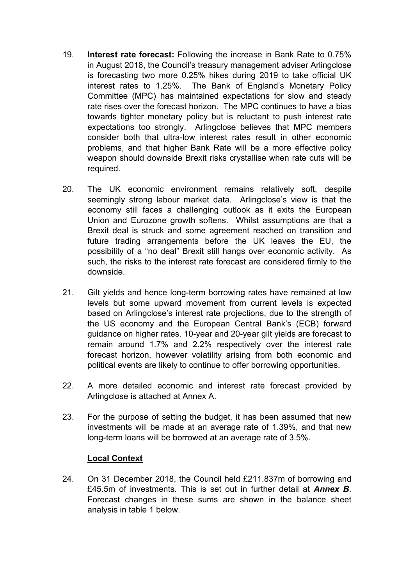- 19. **Interest rate forecast:** Following the increase in Bank Rate to 0.75% in August 2018, the Council's treasury management adviser Arlingclose is forecasting two more 0.25% hikes during 2019 to take official UK interest rates to 1.25%. The Bank of England's Monetary Policy Committee (MPC) has maintained expectations for slow and steady rate rises over the forecast horizon. The MPC continues to have a bias towards tighter monetary policy but is reluctant to push interest rate expectations too strongly. Arlingclose believes that MPC members consider both that ultra-low interest rates result in other economic problems, and that higher Bank Rate will be a more effective policy weapon should downside Brexit risks crystallise when rate cuts will be required.
- 20. The UK economic environment remains relatively soft, despite seemingly strong labour market data. Arlingclose's view is that the economy still faces a challenging outlook as it exits the European Union and Eurozone growth softens. Whilst assumptions are that a Brexit deal is struck and some agreement reached on transition and future trading arrangements before the UK leaves the EU, the possibility of a "no deal" Brexit still hangs over economic activity.As such, the risks to the interest rate forecast are considered firmly to the downside.
- 21. Gilt yields and hence long-term borrowing rates have remained at low levels but some upward movement from current levels is expected based on Arlingclose's interest rate projections, due to the strength of the US economy and the European Central Bank's (ECB) forward guidance on higher rates. 10-year and 20-year gilt yields are forecast to remain around 1.7% and 2.2% respectively over the interest rate forecast horizon, however volatility arising from both economic and political events are likely to continue to offer borrowing opportunities.
- 22. A more detailed economic and interest rate forecast provided by Arlingclose is attached at Annex A.
- 23. For the purpose of setting the budget, it has been assumed that new investments will be made at an average rate of 1.39%, and that new long-term loans will be borrowed at an average rate of 3.5%.

### **Local Context**

24. On 31 December 2018, the Council held £211.837m of borrowing and £45.5m of investments. This is set out in further detail at *Annex B*. Forecast changes in these sums are shown in the balance sheet analysis in table 1 below.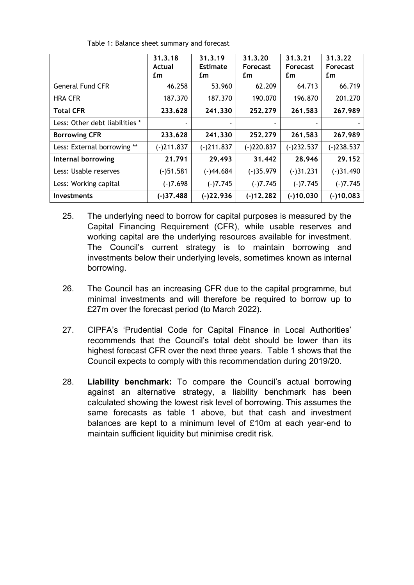|                                | 31.3.18      | 31.3.19         | 31, 3, 20       | 31.3.21         | 31.3.22         |
|--------------------------------|--------------|-----------------|-----------------|-----------------|-----------------|
|                                | Actual       | <b>Estimate</b> | <b>Forecast</b> | <b>Forecast</b> | <b>Forecast</b> |
|                                | £m           | £m              | £m              | £m              | £m              |
| <b>General Fund CFR</b>        | 46.258       | 53.960          | 62.209          | 64.713          | 66.719          |
| <b>HRA CFR</b>                 | 187.370      | 187.370         | 190.070         | 196.870         | 201.270         |
| <b>Total CFR</b>               | 233.628      | 241,330         | 252.279         | 261.583         | 267.989         |
| Less: Other debt liabilities * |              |                 |                 |                 |                 |
| <b>Borrowing CFR</b>           | 233.628      | 241,330         | 252.279         | 261.583         | 267.989         |
| Less: External borrowing **    | $(-)211.837$ | $(-)211.837$    | $(-)220.837$    | $(-)232.537$    | $(-)238.537$    |
| Internal borrowing             | 21.791       | 29.493          | 31.442          | 28.946          | 29.152          |
| Less: Usable reserves          | $(-)51.581$  | $(-)44.684$     | $(-)35.979$     | $(-)31.231$     | $(-)31.490$     |
| Less: Working capital          | $(-)7.698$   | $(-)7.745$      | $(-)7.745$      | $(-)7.745$      | $(-)7.745$      |
| <b>Investments</b>             | $(-)37.488$  | $(-)22.936$     | $(-)12.282$     | $(-)10.030$     | $(-)10.083$     |

Table 1: Balance sheet summary and forecast

- 25. The underlying need to borrow for capital purposes is measured by the Capital Financing Requirement (CFR), while usable reserves and working capital are the underlying resources available for investment. The Council's current strategy is to maintain borrowing and investments below their underlying levels, sometimes known as internal borrowing.
- 26. The Council has an increasing CFR due to the capital programme, but minimal investments and will therefore be required to borrow up to £27m over the forecast period (to March 2022).
- 27. CIPFA's 'Prudential Code for Capital Finance in Local Authorities' recommends that the Council's total debt should be lower than its highest forecast CFR over the next three years. Table 1 shows that the Council expects to comply with this recommendation during 2019/20.
- 28. **Liability benchmark:** To compare the Council's actual borrowing against an alternative strategy, a liability benchmark has been calculated showing the lowest risk level of borrowing. This assumes the same forecasts as table 1 above, but that cash and investment balances are kept to a minimum level of £10m at each year-end to maintain sufficient liquidity but minimise credit risk.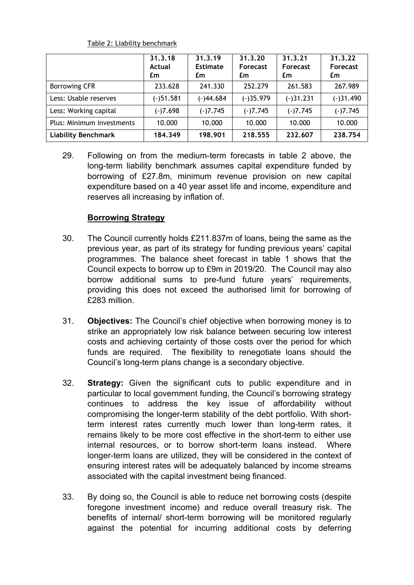|                            | 31.3.18<br>Actual<br>£m | 31.3.19<br><b>Estimate</b><br>£m | 31.3.20<br><b>Forecast</b><br>£m | 31.3.21<br>Forecast<br>£m | 31.3.22<br><b>Forecast</b><br>£m |
|----------------------------|-------------------------|----------------------------------|----------------------------------|---------------------------|----------------------------------|
| <b>Borrowing CFR</b>       | 233.628                 | 241.330                          | 252.279                          | 261.583                   | 267.989                          |
| Less: Usable reserves      | $(-)51.581$             | $(-)44.684$                      | $(-)35.979$                      | $(-)31.231$               | $(-)31.490$                      |
| Less: Working capital      | $(-)7.698$              | $(-)7.745$                       | $(-)7.745$                       | $(-)7.745$                | $(-)7.745$                       |
| Plus: Minimum investments  | 10.000                  | 10.000                           | 10.000                           | 10.000                    | 10.000                           |
| <b>Liability Benchmark</b> | 184.349                 | 198.901                          | 218.555                          | 232.607                   | 238.754                          |

Table 2: Liability benchmark

29. Following on from the medium-term forecasts in table 2 above, the long-term liability benchmark assumes capital expenditure funded by borrowing of £27.8m, minimum revenue provision on new capital expenditure based on a 40 year asset life and income, expenditure and reserves all increasing by inflation of.

# **Borrowing Strategy**

- 30. The Council currently holds £211.837m of loans, being the same as the previous year, as part of its strategy for funding previous years' capital programmes. The balance sheet forecast in table 1 shows that the Council expects to borrow up to £9m in 2019/20. The Council may also borrow additional sums to pre-fund future years' requirements, providing this does not exceed the authorised limit for borrowing of £283 million.
- 31. **Objectives:** The Council's chief objective when borrowing money is to strike an appropriately low risk balance between securing low interest costs and achieving certainty of those costs over the period for which funds are required. The flexibility to renegotiate loans should the Council's long-term plans change is a secondary objective.
- 32. **Strategy:** Given the significant cuts to public expenditure and in particular to local government funding, the Council's borrowing strategy continues to address the key issue of affordability without compromising the longer-term stability of the debt portfolio. With shortterm interest rates currently much lower than long-term rates, it remains likely to be more cost effective in the short-term to either use internal resources, or to borrow short-term loans instead. Where longer-term loans are utilized, they will be considered in the context of ensuring interest rates will be adequately balanced by income streams associated with the capital investment being financed.
- 33. By doing so, the Council is able to reduce net borrowing costs (despite foregone investment income) and reduce overall treasury risk. The benefits of internal/ short-term borrowing will be monitored regularly against the potential for incurring additional costs by deferring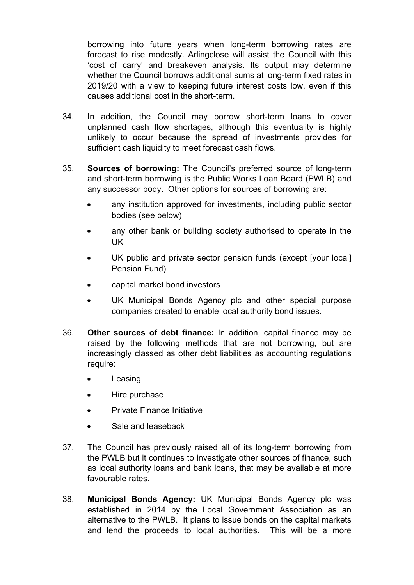borrowing into future years when long-term borrowing rates are forecast to rise modestly. Arlingclose will assist the Council with this 'cost of carry' and breakeven analysis. Its output may determine whether the Council borrows additional sums at long-term fixed rates in 2019/20 with a view to keeping future interest costs low, even if this causes additional cost in the short-term.

- 34. In addition, the Council may borrow short-term loans to cover unplanned cash flow shortages, although this eventuality is highly unlikely to occur because the spread of investments provides for sufficient cash liquidity to meet forecast cash flows.
- 35. **Sources of borrowing:** The Council's preferred source of long-term and short-term borrowing is the Public Works Loan Board (PWLB) and any successor body. Other options for sources of borrowing are:
	- any institution approved for investments, including public sector bodies (see below)
	- any other bank or building society authorised to operate in the UK
	- UK public and private sector pension funds (except [your local] Pension Fund)
	- capital market bond investors
	- UK Municipal Bonds Agency plc and other special purpose companies created to enable local authority bond issues.
- 36. **Other sources of debt finance:** In addition, capital finance may be raised by the following methods that are not borrowing, but are increasingly classed as other debt liabilities as accounting regulations require:
	- Leasing
	- Hire purchase
	- Private Finance Initiative
	- Sale and leaseback
- 37. The Council has previously raised all of its long-term borrowing from the PWLB but it continues to investigate other sources of finance, such as local authority loans and bank loans, that may be available at more favourable rates.
- 38. **Municipal Bonds Agency:** UK Municipal Bonds Agency plc was established in 2014 by the Local Government Association as an alternative to the PWLB. It plans to issue bonds on the capital markets and lend the proceeds to local authorities. This will be a more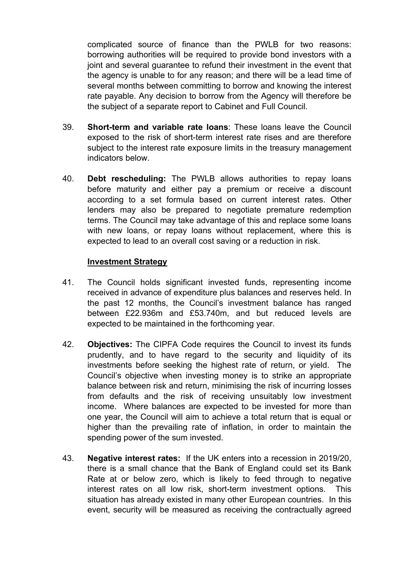complicated source of finance than the PWLB for two reasons: borrowing authorities will be required to provide bond investors with a joint and several guarantee to refund their investment in the event that the agency is unable to for any reason; and there will be a lead time of several months between committing to borrow and knowing the interest rate payable. Any decision to borrow from the Agency will therefore be the subject of a separate report to Cabinet and Full Council.

- 39. **Short-term and variable rate loans**: These loans leave the Council exposed to the risk of short-term interest rate rises and are therefore subject to the interest rate exposure limits in the treasury management indicators below.
- 40. **Debt rescheduling:** The PWLB allows authorities to repay loans before maturity and either pay a premium or receive a discount according to a set formula based on current interest rates. Other lenders may also be prepared to negotiate premature redemption terms. The Council may take advantage of this and replace some loans with new loans, or repay loans without replacement, where this is expected to lead to an overall cost saving or a reduction in risk.

### **Investment Strategy**

- 41. The Council holds significant invested funds, representing income received in advance of expenditure plus balances and reserves held. In the past 12 months, the Council's investment balance has ranged between £22.936m and £53.740m, and but reduced levels are expected to be maintained in the forthcoming year.
- 42. **Objectives:** The CIPFA Code requires the Council to invest its funds prudently, and to have regard to the security and liquidity of its investments before seeking the highest rate of return, or yield. The Council's objective when investing money is to strike an appropriate balance between risk and return, minimising the risk of incurring losses from defaults and the risk of receiving unsuitably low investment income. Where balances are expected to be invested for more than one year, the Council will aim to achieve a total return that is equal or higher than the prevailing rate of inflation, in order to maintain the spending power of the sum invested.
- 43. **Negative interest rates:** If the UK enters into a recession in 2019/20, there is a small chance that the Bank of England could set its Bank Rate at or below zero, which is likely to feed through to negative interest rates on all low risk, short-term investment options. This situation has already existed in many other European countries. In this event, security will be measured as receiving the contractually agreed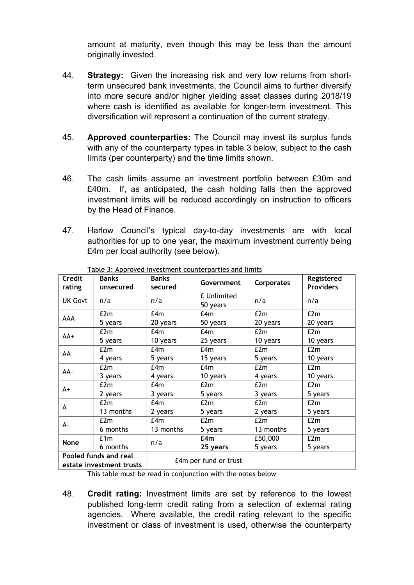amount at maturity, even though this may be less than the amount originally invested.

- 44. **Strategy:** Given the increasing risk and very low returns from shortterm unsecured bank investments, the Council aims to further diversify into more secure and/or higher yielding asset classes during 2018/19 where cash is identified as available for longer-term investment. This diversification will represent a continuation of the current strategy.
- 45. **Approved counterparties:** The Council may invest its surplus funds with any of the counterparty types in table 3 below, subject to the cash limits (per counterparty) and the time limits shown.
- 46. The cash limits assume an investment portfolio between £30m and £40m. If, as anticipated, the cash holding falls then the approved investment limits will be reduced accordingly on instruction to officers by the Head of Finance.
- 47. Harlow Council's typical day-to-day investments are with local authorities for up to one year, the maximum investment currently being £4m per local authority (see below).

| Credit<br>rating                                  | Banks<br>unsecured | <b>Banks</b><br>secured | Government              | <b>Corporates</b> | Registered<br><b>Providers</b> |  |
|---------------------------------------------------|--------------------|-------------------------|-------------------------|-------------------|--------------------------------|--|
| <b>UK Govt</b>                                    | n/a                | n/a                     | £ Unlimited<br>50 years | n/a               | n/a                            |  |
| AAA                                               | £2m                | f4m                     | f4m                     | E2m               | £2m                            |  |
|                                                   | 5 years            | 20 years                | 50 years                | 20 years          | 20 years                       |  |
| AA+                                               | E2m                | f4m                     | f4m                     | E2m               | E2m                            |  |
|                                                   | 5 years            | 10 years                | 25 years                | 10 years          | 10 years                       |  |
| AA                                                | E2m                | f4m                     | f4m                     | E2m               | £2m                            |  |
|                                                   | 4 years            | 5 years                 | 15 years                | 5 years           | 10 years                       |  |
| AA-                                               | E2m<br>f4m         |                         | E4m                     | E2m               | E2m                            |  |
|                                                   | 3 years            | 4 years                 | 10 years                | 4 years           | 10 years                       |  |
| $A+$                                              | E2m                | f4m                     | E2m                     | E2m               | E2m                            |  |
|                                                   | 2 years            | 3 years                 | 5 years                 | 3 years           | 5 years                        |  |
| A                                                 | £2m                | £4m                     | E2m                     | f2m               | £2m                            |  |
|                                                   | 13 months          | 2 years                 | 5 years                 | 2 years           | 5 years                        |  |
|                                                   | E2m                | E4m                     | E2m                     | E2m               | E2m                            |  |
| А-                                                | 6 months           | 13 months               | 5 years                 | 13 months         | 5 years                        |  |
| <b>None</b>                                       | £1m                | n/a                     | f.4m                    | £50,000           | E2m                            |  |
| 6 months                                          |                    |                         | 25 years                | 5 years           | 5 years                        |  |
| Pooled funds and real<br>estate investment trusts |                    | £4m per fund or trust   |                         |                   |                                |  |

Table 3: Approved investment counterparties and limits

This table must be read in conjunction with the notes below

48. **Credit rating:** Investment limits are set by reference to the lowest published long-term credit rating from a selection of external rating agencies. Where available, the credit rating relevant to the specific investment or class of investment is used, otherwise the counterparty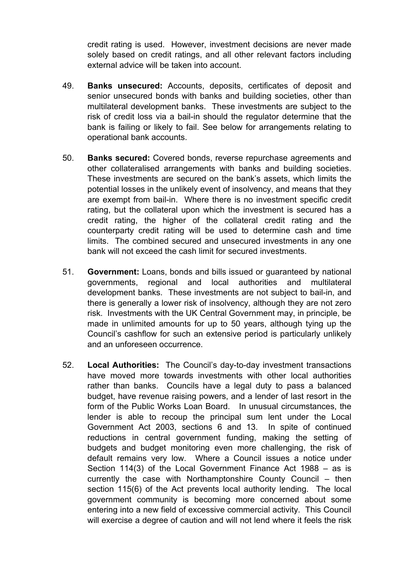credit rating is used. However, investment decisions are never made solely based on credit ratings, and all other relevant factors including external advice will be taken into account.

- 49. **Banks unsecured:** Accounts, deposits, certificates of deposit and senior unsecured bonds with banks and building societies, other than multilateral development banks. These investments are subject to the risk of credit loss via a bail-in should the regulator determine that the bank is failing or likely to fail. See below for arrangements relating to operational bank accounts.
- 50. **Banks secured:** Covered bonds, reverse repurchase agreements and other collateralised arrangements with banks and building societies. These investments are secured on the bank's assets, which limits the potential losses in the unlikely event of insolvency, and means that they are exempt from bail-in. Where there is no investment specific credit rating, but the collateral upon which the investment is secured has a credit rating, the higher of the collateral credit rating and the counterparty credit rating will be used to determine cash and time limits. The combined secured and unsecured investments in any one bank will not exceed the cash limit for secured investments.
- 51. **Government:** Loans, bonds and bills issued or guaranteed by national governments, regional and local authorities and multilateral development banks. These investments are not subject to bail-in, and there is generally a lower risk of insolvency, although they are not zero risk. Investments with the UK Central Government may, in principle, be made in unlimited amounts for up to 50 years, although tying up the Council's cashflow for such an extensive period is particularly unlikely and an unforeseen occurrence.
- 52. **Local Authorities:** The Council's day-to-day investment transactions have moved more towards investments with other local authorities rather than banks. Councils have a legal duty to pass a balanced budget, have revenue raising powers, and a lender of last resort in the form of the Public Works Loan Board. In unusual circumstances, the lender is able to recoup the principal sum lent under the Local Government Act 2003, sections 6 and 13. In spite of continued reductions in central government funding, making the setting of budgets and budget monitoring even more challenging, the risk of default remains very low. Where a Council issues a notice under Section 114(3) of the Local Government Finance Act 1988 – as is currently the case with Northamptonshire County Council – then section 115(6) of the Act prevents local authority lending. The local government community is becoming more concerned about some entering into a new field of excessive commercial activity. This Council will exercise a degree of caution and will not lend where it feels the risk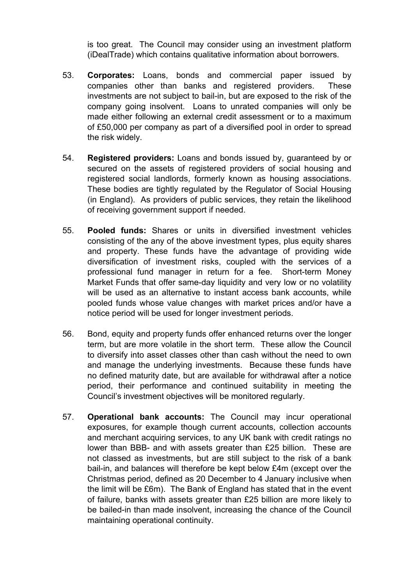is too great. The Council may consider using an investment platform (iDealTrade) which contains qualitative information about borrowers.

- 53. **Corporates:** Loans, bonds and commercial paper issued by companies other than banks and registered providers. These investments are not subject to bail-in, but are exposed to the risk of the company going insolvent. Loans to unrated companies will only be made either following an external credit assessment or to a maximum of £50,000 per company as part of a diversified pool in order to spread the risk widely.
- 54. **Registered providers:** Loans and bonds issued by, guaranteed by or secured on the assets of registered providers of social housing and registered social landlords, formerly known as housing associations. These bodies are tightly regulated by the Regulator of Social Housing (in England). As providers of public services, they retain the likelihood of receiving government support if needed.
- 55. **Pooled funds:** Shares or units in diversified investment vehicles consisting of the any of the above investment types, plus equity shares and property. These funds have the advantage of providing wide diversification of investment risks, coupled with the services of a professional fund manager in return for a fee. Short-term Money Market Funds that offer same-day liquidity and very low or no volatility will be used as an alternative to instant access bank accounts, while pooled funds whose value changes with market prices and/or have a notice period will be used for longer investment periods.
- 56. Bond, equity and property funds offer enhanced returns over the longer term, but are more volatile in the short term. These allow the Council to diversify into asset classes other than cash without the need to own and manage the underlying investments. Because these funds have no defined maturity date, but are available for withdrawal after a notice period, their performance and continued suitability in meeting the Council's investment objectives will be monitored regularly.
- 57. **Operational bank accounts:** The Council may incur operational exposures, for example though current accounts, collection accounts and merchant acquiring services, to any UK bank with credit ratings no lower than BBB- and with assets greater than £25 billion. These are not classed as investments, but are still subject to the risk of a bank bail-in, and balances will therefore be kept below £4m (except over the Christmas period, defined as 20 December to 4 January inclusive when the limit will be £6m). The Bank of England has stated that in the event of failure, banks with assets greater than £25 billion are more likely to be bailed-in than made insolvent, increasing the chance of the Council maintaining operational continuity.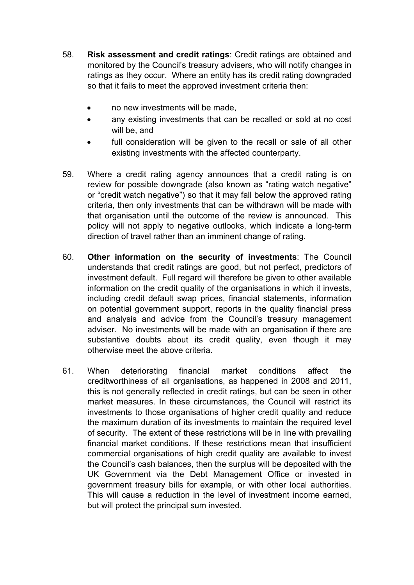- 58. **Risk assessment and credit ratings**: Credit ratings are obtained and monitored by the Council's treasury advisers, who will notify changes in ratings as they occur. Where an entity has its credit rating downgraded so that it fails to meet the approved investment criteria then:
	- no new investments will be made,
	- any existing investments that can be recalled or sold at no cost will be, and
	- full consideration will be given to the recall or sale of all other existing investments with the affected counterparty.
- 59. Where a credit rating agency announces that a credit rating is on review for possible downgrade (also known as "rating watch negative" or "credit watch negative") so that it may fall below the approved rating criteria, then only investments that can be withdrawn will be made with that organisation until the outcome of the review is announced. This policy will not apply to negative outlooks, which indicate a long-term direction of travel rather than an imminent change of rating.
- 60. **Other information on the security of investments**: The Council understands that credit ratings are good, but not perfect, predictors of investment default. Full regard will therefore be given to other available information on the credit quality of the organisations in which it invests, including credit default swap prices, financial statements, information on potential government support, reports in the quality financial press and analysis and advice from the Council's treasury management adviser. No investments will be made with an organisation if there are substantive doubts about its credit quality, even though it may otherwise meet the above criteria.
- 61. When deteriorating financial market conditions affect the creditworthiness of all organisations, as happened in 2008 and 2011, this is not generally reflected in credit ratings, but can be seen in other market measures. In these circumstances, the Council will restrict its investments to those organisations of higher credit quality and reduce the maximum duration of its investments to maintain the required level of security. The extent of these restrictions will be in line with prevailing financial market conditions. If these restrictions mean that insufficient commercial organisations of high credit quality are available to invest the Council's cash balances, then the surplus will be deposited with the UK Government via the Debt Management Office or invested in government treasury bills for example, or with other local authorities. This will cause a reduction in the level of investment income earned, but will protect the principal sum invested.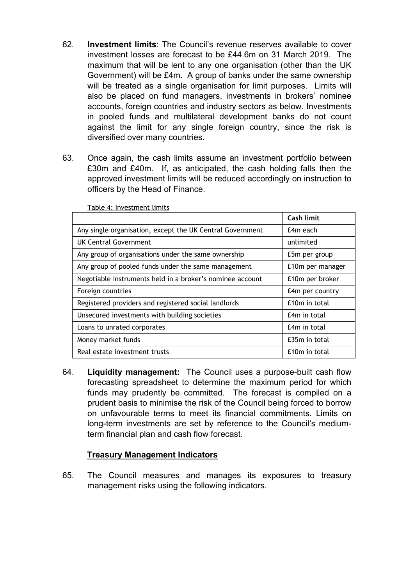- 62. **Investment limits**: The Council's revenue reserves available to cover investment losses are forecast to be £44.6m on 31 March 2019. The maximum that will be lent to any one organisation (other than the UK Government) will be £4m. A group of banks under the same ownership will be treated as a single organisation for limit purposes. Limits will also be placed on fund managers, investments in brokers' nominee accounts, foreign countries and industry sectors as below. Investments in pooled funds and multilateral development banks do not count against the limit for any single foreign country, since the risk is diversified over many countries.
- 63. Once again, the cash limits assume an investment portfolio between £30m and £40m. If, as anticipated, the cash holding falls then the approved investment limits will be reduced accordingly on instruction to officers by the Head of Finance.

|                                                           | Cash limit       |
|-----------------------------------------------------------|------------------|
| Any single organisation, except the UK Central Government | £4m each         |
| UK Central Government                                     | unlimited        |
| Any group of organisations under the same ownership       | £5m per group    |
| Any group of pooled funds under the same management       | £10m per manager |
| Negotiable instruments held in a broker's nominee account | £10m per broker  |
| Foreign countries                                         | £4m per country  |
| Registered providers and registered social landlords      | £10m in total    |
| Unsecured investments with building societies             | £4m in total     |
| Loans to unrated corporates                               | £4m in total     |
| Money market funds                                        | £35m in total    |
| Real estate investment trusts                             | £10m in total    |

Table 4: Investment limits

64. **Liquidity management:** The Council uses a purpose-built cash flow forecasting spreadsheet to determine the maximum period for which funds may prudently be committed. The forecast is compiled on a prudent basis to minimise the risk of the Council being forced to borrow on unfavourable terms to meet its financial commitments. Limits on long-term investments are set by reference to the Council's mediumterm financial plan and cash flow forecast.

### **Treasury Management Indicators**

65. The Council measures and manages its exposures to treasury management risks using the following indicators.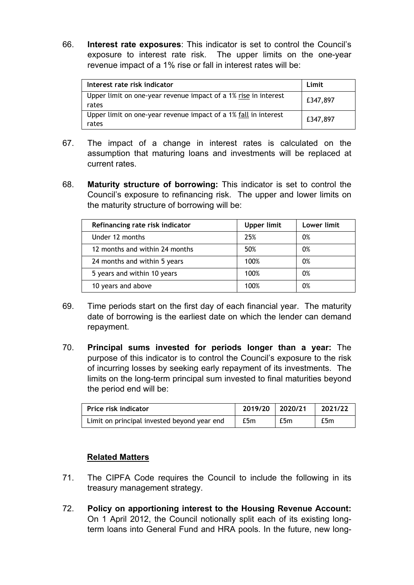66. **Interest rate exposures**: This indicator is set to control the Council's exposure to interest rate risk. The upper limits on the one-year revenue impact of a 1% rise or fall in interest rates will be:

| Interest rate risk indicator                                             | Limit    |
|--------------------------------------------------------------------------|----------|
| Upper limit on one-year revenue impact of a 1% rise in interest<br>rates | £347,897 |
| Upper limit on one-year revenue impact of a 1% fall in interest<br>rates | £347,897 |

- 67. The impact of a change in interest rates is calculated on the assumption that maturing loans and investments will be replaced at current rates.
- 68. **Maturity structure of borrowing:** This indicator is set to control the Council's exposure to refinancing risk. The upper and lower limits on the maturity structure of borrowing will be:

| Refinancing rate risk indicator | <b>Upper limit</b> | Lower limit |
|---------------------------------|--------------------|-------------|
| Under 12 months                 | 25%                | 0%          |
| 12 months and within 24 months  | 50%                | 0%          |
| 24 months and within 5 years    | 100%               | 0%          |
| 5 years and within 10 years     | 100%               | 0%          |
| 10 years and above              | 100%               | 0%          |

- 69. Time periods start on the first day of each financial year. The maturity date of borrowing is the earliest date on which the lender can demand repayment.
- 70. **Principal sums invested for periods longer than a year:** The purpose of this indicator is to control the Council's exposure to the risk of incurring losses by seeking early repayment of its investments. The limits on the long-term principal sum invested to final maturities beyond the period end will be:

| Price risk indicator                        | 2019/20 2020/21 |     | 2021/22 |  |
|---------------------------------------------|-----------------|-----|---------|--|
| Limit on principal invested beyond year end | £5m             | £5m | £5m     |  |

# **Related Matters**

- 71. The CIPFA Code requires the Council to include the following in its treasury management strategy.
- 72. **Policy on apportioning interest to the Housing Revenue Account:** On 1 April 2012, the Council notionally split each of its existing longterm loans into General Fund and HRA pools. In the future, new long-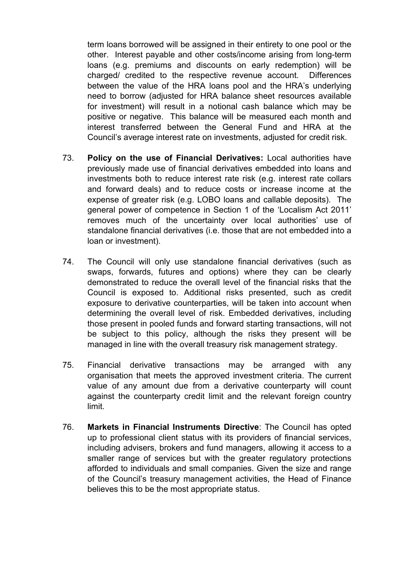term loans borrowed will be assigned in their entirety to one pool or the other. Interest payable and other costs/income arising from long-term loans (e.g. premiums and discounts on early redemption) will be charged/ credited to the respective revenue account. Differences between the value of the HRA loans pool and the HRA's underlying need to borrow (adjusted for HRA balance sheet resources available for investment) will result in a notional cash balance which may be positive or negative. This balance will be measured each month and interest transferred between the General Fund and HRA at the Council's average interest rate on investments, adjusted for credit risk.

- 73. **Policy on the use of Financial Derivatives:** Local authorities have previously made use of financial derivatives embedded into loans and investments both to reduce interest rate risk (e.g. interest rate collars and forward deals) and to reduce costs or increase income at the expense of greater risk (e.g. LOBO loans and callable deposits). The general power of competence in Section 1 of the 'Localism Act 2011' removes much of the uncertainty over local authorities' use of standalone financial derivatives (i.e. those that are not embedded into a loan or investment).
- 74. The Council will only use standalone financial derivatives (such as swaps, forwards, futures and options) where they can be clearly demonstrated to reduce the overall level of the financial risks that the Council is exposed to. Additional risks presented, such as credit exposure to derivative counterparties, will be taken into account when determining the overall level of risk. Embedded derivatives, including those present in pooled funds and forward starting transactions, will not be subject to this policy, although the risks they present will be managed in line with the overall treasury risk management strategy.
- 75. Financial derivative transactions may be arranged with any organisation that meets the approved investment criteria. The current value of any amount due from a derivative counterparty will count against the counterparty credit limit and the relevant foreign country limit.
- 76. **Markets in Financial Instruments Directive**: The Council has opted up to professional client status with its providers of financial services, including advisers, brokers and fund managers, allowing it access to a smaller range of services but with the greater regulatory protections afforded to individuals and small companies. Given the size and range of the Council's treasury management activities, the Head of Finance believes this to be the most appropriate status.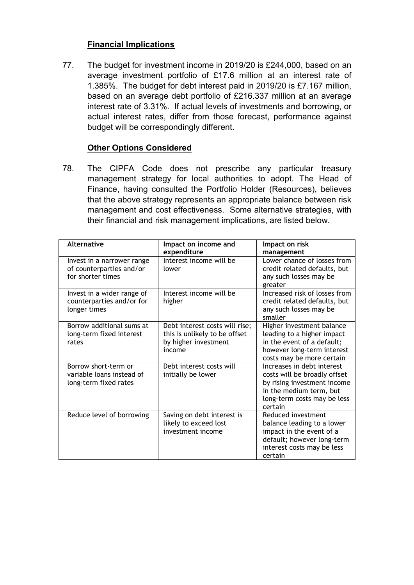# **Financial Implications**

77. The budget for investment income in 2019/20 is £244,000, based on an average investment portfolio of £17.6 million at an interest rate of 1.385%. The budget for debt interest paid in 2019/20 is £7.167 million, based on an average debt portfolio of £216.337 million at an average interest rate of 3.31%. If actual levels of investments and borrowing, or actual interest rates, differ from those forecast, performance against budget will be correspondingly different.

# **Other Options Considered**

78. The CIPFA Code does not prescribe any particular treasury management strategy for local authorities to adopt. The Head of Finance, having consulted the Portfolio Holder (Resources), believes that the above strategy represents an appropriate balance between risk management and cost effectiveness. Some alternative strategies, with their financial and risk management implications, are listed below.

| <b>Alternative</b>                                                          | Impact on income and<br>expenditure                                                               | Impact on risk<br>management                                                                                                                                   |
|-----------------------------------------------------------------------------|---------------------------------------------------------------------------------------------------|----------------------------------------------------------------------------------------------------------------------------------------------------------------|
| Invest in a narrower range<br>of counterparties and/or<br>for shorter times | Interest income will be<br>lower                                                                  | Lower chance of losses from<br>credit related defaults, but<br>any such losses may be<br>greater                                                               |
| Invest in a wider range of<br>counterparties and/or for<br>longer times     | Interest income will be<br>higher                                                                 | Increased risk of losses from<br>credit related defaults, but<br>any such losses may be<br>smaller                                                             |
| Borrow additional sums at<br>long-term fixed interest<br>rates              | Debt interest costs will rise;<br>this is unlikely to be offset<br>by higher investment<br>income | Higher investment balance<br>leading to a higher impact<br>in the event of a default;<br>however long-term interest<br>costs may be more certain               |
| Borrow short-term or<br>variable loans instead of<br>long-term fixed rates  | Debt interest costs will<br>initially be lower                                                    | Increases in debt interest<br>costs will be broadly offset<br>by rising investment income<br>in the medium term, but<br>long-term costs may be less<br>certain |
| Reduce level of borrowing                                                   | Saving on debt interest is<br>likely to exceed lost<br>investment income                          | Reduced investment<br>balance leading to a lower<br>impact in the event of a<br>default; however long-term<br>interest costs may be less<br>certain            |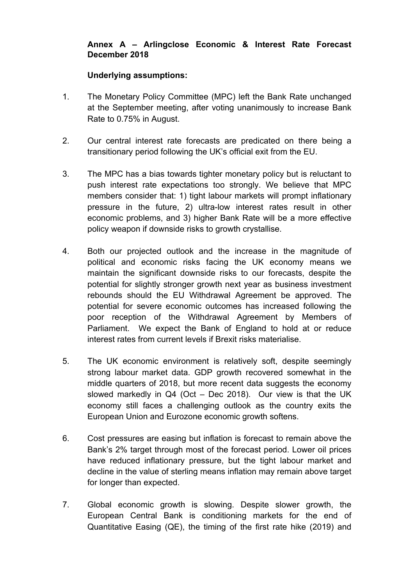### **Annex A – Arlingclose Economic & Interest Rate Forecast December 2018**

### **Underlying assumptions:**

- 1. The Monetary Policy Committee (MPC) left the Bank Rate unchanged at the September meeting, after voting unanimously to increase Bank Rate to 0.75% in August.
- 2. Our central interest rate forecasts are predicated on there being a transitionary period following the UK's official exit from the EU.
- 3. The MPC has a bias towards tighter monetary policy but is reluctant to push interest rate expectations too strongly. We believe that MPC members consider that: 1) tight labour markets will prompt inflationary pressure in the future, 2) ultra-low interest rates result in other economic problems, and 3) higher Bank Rate will be a more effective policy weapon if downside risks to growth crystallise.
- 4. Both our projected outlook and the increase in the magnitude of political and economic risks facing the UK economy means we maintain the significant downside risks to our forecasts, despite the potential for slightly stronger growth next year as business investment rebounds should the EU Withdrawal Agreement be approved. The potential for severe economic outcomes has increased following the poor reception of the Withdrawal Agreement by Members of Parliament. We expect the Bank of England to hold at or reduce interest rates from current levels if Brexit risks materialise.
- 5. The UK economic environment is relatively soft, despite seemingly strong labour market data. GDP growth recovered somewhat in the middle quarters of 2018, but more recent data suggests the economy slowed markedly in Q4 (Oct – Dec 2018). Our view is that the UK economy still faces a challenging outlook as the country exits the European Union and Eurozone economic growth softens.
- 6. Cost pressures are easing but inflation is forecast to remain above the Bank's 2% target through most of the forecast period. Lower oil prices have reduced inflationary pressure, but the tight labour market and decline in the value of sterling means inflation may remain above target for longer than expected.
- 7. Global economic growth is slowing. Despite slower growth, the European Central Bank is conditioning markets for the end of Quantitative Easing (QE), the timing of the first rate hike (2019) and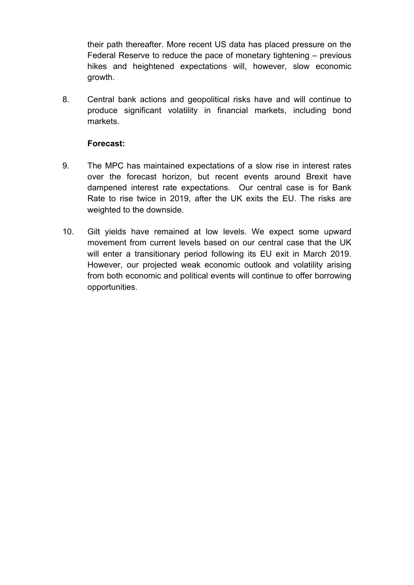their path thereafter. More recent US data has placed pressure on the Federal Reserve to reduce the pace of monetary tightening – previous hikes and heightened expectations will, however, slow economic growth.

8. Central bank actions and geopolitical risks have and will continue to produce significant volatility in financial markets, including bond markets.

# **Forecast:**

- 9. The MPC has maintained expectations of a slow rise in interest rates over the forecast horizon, but recent events around Brexit have dampened interest rate expectations. Our central case is for Bank Rate to rise twice in 2019, after the UK exits the EU. The risks are weighted to the downside.
- 10. Gilt yields have remained at low levels. We expect some upward movement from current levels based on our central case that the UK will enter a transitionary period following its EU exit in March 2019. However, our projected weak economic outlook and volatility arising from both economic and political events will continue to offer borrowing opportunities.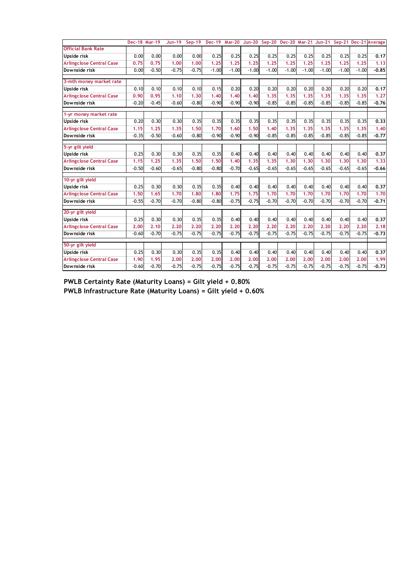|                                 | Dec-18 Mar-19 |         | $Jun-19$ | $Sep-19$ |         |         |         | Dec-19 Mar-20 Jun-20 Sep-20 Dec-20 Mar-21 Jun-21 |         |         |         |         |         | Sep-21 Dec-21 Average |
|---------------------------------|---------------|---------|----------|----------|---------|---------|---------|--------------------------------------------------|---------|---------|---------|---------|---------|-----------------------|
| <b>Official Bank Rate</b>       |               |         |          |          |         |         |         |                                                  |         |         |         |         |         |                       |
| Upside risk                     | 0.00          | 0.00    | 0.00     | 0.00     | 0.25    | 0.25    | 0.25    | 0.25                                             | 0.25    | 0.25    | 0.25    | 0.25    | 0.25    | 0.17                  |
| <b>Arlingclose Central Case</b> | 0.75          | 0.75    | 1.00     | 1.00     | 1.25    | 1.25    | 1.25    | 1.25                                             | 1.25    | 1.25    | 1.25    | 1.25    | 1.25    | 1.13                  |
| Downside risk                   | 0.00          | $-0.50$ | $-0.75$  | $-0.75$  | $-1.00$ | $-1.00$ | $-1.00$ | $-1.00$                                          | $-1.00$ | $-1.00$ | $-1.00$ | $-1.00$ | $-1.00$ | $-0.85$               |
| 3-mth money market rate         |               |         |          |          |         |         |         |                                                  |         |         |         |         |         |                       |
| <b>Upside risk</b>              | 0.10          | 0.10    | 0.10     | 0.10     | 0.15    | 0.20    | 0.20    | 0.20                                             | 0.20    | 0.20    | 0.20    | 0.20    | 0.20    | 0.17                  |
| <b>Arlingclose Central Case</b> | 0.90          | 0.95    | 1.10     | 1.30     | 1.40    | 1.40    | 1.40    | 1.35                                             | 1.35    | 1.35    | 1.35    | 1.35    | 1.35    | 1.27                  |
| Downside risk                   | $-0.20$       | $-0.45$ | $-0.60$  | $-0.80$  | $-0.90$ | $-0.90$ | $-0.90$ | $-0.85$                                          | $-0.85$ | $-0.85$ | $-0.85$ | $-0.85$ | $-0.85$ | $-0.76$               |
| 1-yr money market rate          |               |         |          |          |         |         |         |                                                  |         |         |         |         |         |                       |
| Upside risk                     | 0.20          | 0.30    | 0.30     | 0.35     | 0.35    | 0.35    | 0.35    | 0.35                                             | 0.35    | 0.35    | 0.35    | 0.35    | 0.35    | 0.33                  |
| <b>Arlingclose Central Case</b> | 1.15          | 1.25    | 1.35     | 1.50     | 1.70    | 1.60    | 1.50    | 1.40                                             | 1.35    | 1.35    | 1.35    | 1.35    | 1.35    | 1.40                  |
| Downside risk                   | $-0.35$       | $-0.50$ | $-0.60$  | $-0.80$  | $-0.90$ | $-0.90$ | $-0.90$ | $-0.85$                                          | $-0.85$ | $-0.85$ | $-0.85$ | $-0.85$ | $-0.85$ | $-0.77$               |
| 5-yr gilt yield                 |               |         |          |          |         |         |         |                                                  |         |         |         |         |         |                       |
| Upside risk                     | 0.25          | 0.30    | 0.30     | 0.35     | 0.35    | 0.40    | 0.40    | 0.40                                             | 0.40    | 0.40    | 0.40    | 0.40    | 0.40    | 0.37                  |
| <b>Arlingclose Central Case</b> | 1.15          | 1.25    | 1.35     | 1.50     | 1.50    | 1.40    | 1.35    | 1.35                                             | 1.30    | 1.30    | 1.30    | 1.30    | 1.30    | 1.33                  |
| Downside risk                   | $-0.50$       | $-0.60$ | $-0.65$  | $-0.80$  | $-0.80$ | $-0.70$ | $-0.65$ | $-0.65$                                          | $-0.65$ | $-0.65$ | $-0.65$ | $-0.65$ | $-0.65$ | $-0.66$               |
| 10-yr gilt yield                |               |         |          |          |         |         |         |                                                  |         |         |         |         |         |                       |
| Upside risk                     | 0.25          | 0.30    | 0.30     | 0.35     | 0.35    | 0.40    | 0.40    | 0.40                                             | 0.40    | 0.40    | 0.40    | 0.40    | 0.40    | 0.37                  |
| <b>Arlingclose Central Case</b> | 1.50          | 1.65    | 1.70     | 1.80     | 1.80    | 1.75    | 1.75    | 1.70                                             | 1.70    | 1.70    | 1.70    | 1.70    | 1.70    | 1.70                  |
| Downside risk                   | $-0.55$       | $-0.70$ | $-0.70$  | $-0.80$  | $-0.80$ | $-0.75$ | $-0.75$ | $-0.70$                                          | $-0.70$ | $-0.70$ | $-0.70$ | $-0.70$ | $-0.70$ | $-0.71$               |
| 20-yr gilt yield                |               |         |          |          |         |         |         |                                                  |         |         |         |         |         |                       |
| Upside risk                     | 0.25          | 0.30    | 0.30     | 0.35     | 0.35    | 0.40    | 0.40    | 0.40                                             | 0.40    | 0.40    | 0.40    | 0.40    | 0.40    | 0.37                  |
| <b>Arlingclose Central Case</b> | 2.00          | 2.10    | 2.20     | 2.20     | 2.20    | 2,20    | 2.20    | 2.20                                             | 2,20    | 2,20    | 2.20    | 2.20    | 2.20    | 2.18                  |
| Downside risk                   | $-0.60$       | $-0.70$ | $-0.75$  | $-0.75$  | $-0.75$ | $-0.75$ | $-0.75$ | $-0.75$                                          | $-0.75$ | $-0.75$ | $-0.75$ | $-0.75$ | $-0.75$ | $-0.73$               |
| 50-yr gilt yield                |               |         |          |          |         |         |         |                                                  |         |         |         |         |         |                       |
| Upside risk                     | 0.25          | 0.30    | 0.30     | 0.35     | 0.35    | 0.40    | 0.40    | 0.40                                             | 0.40    | 0.40    | 0.40    | 0.40    | 0.40    | 0.37                  |
| <b>Arlingclose Central Case</b> | 1.90          | 1.95    | 2.00     | 2.00     | 2.00    | 2.00    | 2.00    | 2.00                                             | 2.00    | 2.00    | 2.00    | 2.00    | 2.00    | 1.99                  |
| Downside risk                   | $-0.60$       | $-0.70$ | $-0.75$  | $-0.75$  | $-0.75$ | $-0.75$ | $-0.75$ | $-0.75$                                          | $-0.75$ | $-0.75$ | $-0.75$ | $-0.75$ | $-0.75$ | $-0.73$               |

**PWLB Certainty Rate (Maturity Loans) = Gilt yield + 0.80% PWLB Infrastructure Rate (Maturity Loans) = Gilt yield + 0.60%**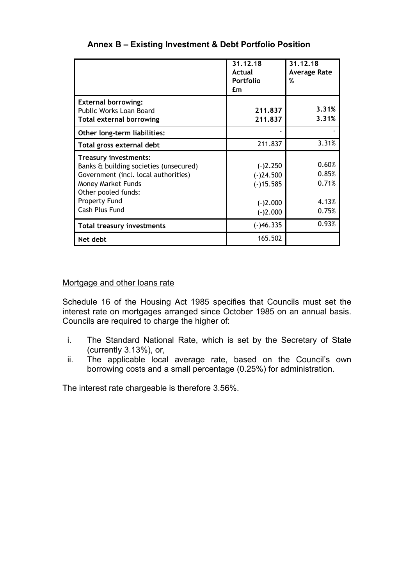|                                                                                                                                                                                                | 31.12.18<br>Actual<br><b>Portfolio</b><br>£m                         | 31.12.18<br><b>Average Rate</b><br>%      |
|------------------------------------------------------------------------------------------------------------------------------------------------------------------------------------------------|----------------------------------------------------------------------|-------------------------------------------|
| <b>External borrowing:</b><br>Public Works Loan Board<br><b>Total external borrowing</b>                                                                                                       | 211.837<br>211,837                                                   | 3.31%<br>3.31%                            |
| Other long-term liabilities:                                                                                                                                                                   |                                                                      |                                           |
| Total gross external debt                                                                                                                                                                      | 211.837                                                              | 3.31%                                     |
| <b>Treasury investments:</b><br>Banks & building societies (unsecured)<br>Government (incl. local authorities)<br>Money Market Funds<br>Other pooled funds:<br>Property Fund<br>Cash Plus Fund | $(-)2.250$<br>$(-)24.500$<br>$(-)15.585$<br>$(-)2.000$<br>$(-)2.000$ | 0.60%<br>0.85%<br>0.71%<br>4.13%<br>0.75% |
| <b>Total treasury investments</b>                                                                                                                                                              | $(-)46.335$                                                          | 0.93%                                     |
| Net debt                                                                                                                                                                                       | 165.502                                                              |                                           |

# **Annex B – Existing Investment & Debt Portfolio Position**

### Mortgage and other loans rate

Schedule 16 of the Housing Act 1985 specifies that Councils must set the interest rate on mortgages arranged since October 1985 on an annual basis. Councils are required to charge the higher of:

- i. The Standard National Rate, which is set by the Secretary of State (currently 3.13%), or,
- ii. The applicable local average rate, based on the Council's own borrowing costs and a small percentage (0.25%) for administration.

The interest rate chargeable is therefore 3.56%.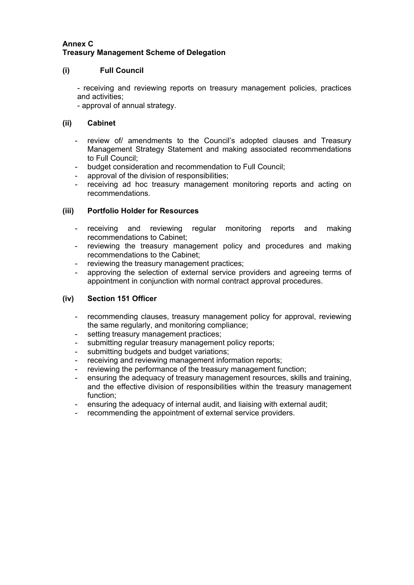#### **Annex C Treasury Management Scheme of Delegation**

### **(i) Full Council**

- receiving and reviewing reports on treasury management policies, practices and activities;

- approval of annual strategy.

### **(ii) Cabinet**

- review of/ amendments to the Council's adopted clauses and Treasury Management Strategy Statement and making associated recommendations to Full Council;
- budget consideration and recommendation to Full Council;
- approval of the division of responsibilities;
- receiving ad hoc treasury management monitoring reports and acting on recommendations.

### **(iii) Portfolio Holder for Resources**

- receiving and reviewing regular monitoring reports and making recommendations to Cabinet;
- reviewing the treasury management policy and procedures and making recommendations to the Cabinet;
- reviewing the treasury management practices;
- approving the selection of external service providers and agreeing terms of appointment in conjunction with normal contract approval procedures.

### **(iv) Section 151 Officer**

- recommending clauses, treasury management policy for approval, reviewing the same regularly, and monitoring compliance;
- setting treasury management practices;
- submitting regular treasury management policy reports;
- submitting budgets and budget variations;
- receiving and reviewing management information reports;
- reviewing the performance of the treasury management function;
- ensuring the adequacy of treasury management resources, skills and training, and the effective division of responsibilities within the treasury management function;
- ensuring the adequacy of internal audit, and liaising with external audit;
- recommending the appointment of external service providers.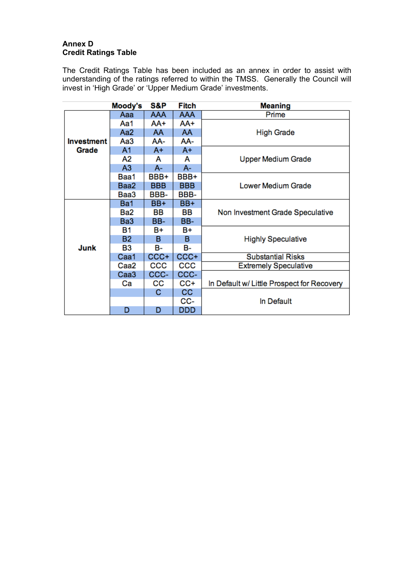### **Annex D Credit Ratings Table**

The Credit Ratings Table has been included as an annex in order to assist with understanding of the ratings referred to within the TMSS. Generally the Council will invest in 'High Grade' or 'Upper Medium Grade' investments.

|                   | Moody's          | S&P        | Fitch      | <b>Meaning</b>                             |  |  |
|-------------------|------------------|------------|------------|--------------------------------------------|--|--|
|                   | Aaa              | <b>AAA</b> | <b>AAA</b> | Prime                                      |  |  |
|                   | Aa1              | AA+        | AA+        |                                            |  |  |
|                   | Aa <sub>2</sub>  | AA         | AA         | <b>High Grade</b>                          |  |  |
| <b>Investment</b> | Aa3              | AA-        | AA-        |                                            |  |  |
| Grade             | A <sub>1</sub>   | A+         | $A+$       |                                            |  |  |
|                   | Α2               | A          | A          | <b>Upper Medium Grade</b>                  |  |  |
|                   | A <sub>3</sub>   | A-         | $A -$      |                                            |  |  |
|                   | Baa1             | BBB+       | BBB+       |                                            |  |  |
|                   | Baa2             | <b>BBB</b> | <b>BBB</b> | Lower Medium Grade                         |  |  |
|                   | Baa3             | BBB-       | BBB-       |                                            |  |  |
|                   | Ba1              | BB+        | BB+        |                                            |  |  |
|                   | Ba2              | BВ         | BВ         | Non Investment Grade Speculative           |  |  |
|                   | Ba <sub>3</sub>  | BB-        | BB-        |                                            |  |  |
|                   | <b>B1</b>        | B+         | B+         |                                            |  |  |
|                   | <b>B2</b>        | в          | в          | <b>Highly Speculative</b>                  |  |  |
| Junk              | B3               | <b>B-</b>  | в-         |                                            |  |  |
|                   | Caa1             | CCC+       | $CCC +$    | <b>Substantial Risks</b>                   |  |  |
|                   | Caa2             | CCC        | CCC        | <b>Extremely Speculative</b>               |  |  |
|                   | Caa <sub>3</sub> | CCC-       | CCC-       |                                            |  |  |
|                   | Сa               | CС         | CC+        | In Default w/ Little Prospect for Recovery |  |  |
|                   |                  | С          | <b>CC</b>  |                                            |  |  |
|                   |                  |            | CC-        | In Default                                 |  |  |
|                   | D                | D          | DDD        |                                            |  |  |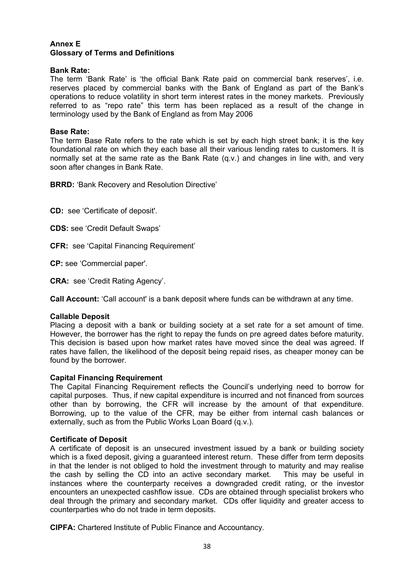#### **Annex E Glossary of Terms and Definitions**

#### **Bank Rate:**

The term 'Bank Rate' is 'the official Bank Rate paid on commercial bank reserves', i.e. reserves placed by commercial banks with the Bank of England as part of the Bank's operations to reduce volatility in short term interest rates in the money markets. Previously referred to as "repo rate" this term has been replaced as a result of the change in terminology used by the Bank of England as from May 2006

#### **Base Rate:**

The term Base Rate refers to the rate which is set by each high street bank; it is the key foundational rate on which they each base all their various lending rates to customers. It is normally set at the same rate as the Bank Rate (q.v.) and changes in line with, and very soon after changes in Bank Rate.

**BRRD:** 'Bank Recovery and Resolution Directive'

**CD:** see 'Certificate of deposit'.

**CDS:** see 'Credit Default Swaps'

**CFR:** see 'Capital Financing Requirement'

**CP:** see 'Commercial paper'.

**CRA:** see 'Credit Rating Agency'.

**Call Account:** 'Call account' is a bank deposit where funds can be withdrawn at any time.

#### **Callable Deposit**

Placing a deposit with a bank or building society at a set rate for a set amount of time. However, the borrower has the right to repay the funds on pre agreed dates before maturity. This decision is based upon how market rates have moved since the deal was agreed. If rates have fallen, the likelihood of the deposit being repaid rises, as cheaper money can be found by the borrower.

#### **Capital Financing Requirement**

The Capital Financing Requirement reflects the Council's underlying need to borrow for capital purposes. Thus, if new capital expenditure is incurred and not financed from sources other than by borrowing, the CFR will increase by the amount of that expenditure. Borrowing, up to the value of the CFR, may be either from internal cash balances or externally, such as from the Public Works Loan Board (q.v.).

#### **Certificate of Deposit**

A certificate of deposit is an unsecured investment issued by a bank or building society which is a fixed deposit, giving a guaranteed interest return. These differ from term deposits in that the lender is not obliged to hold the investment through to maturity and may realise the cash by selling the CD into an active secondary market. This may be useful in instances where the counterparty receives a downgraded credit rating, or the investor encounters an unexpected cashflow issue. CDs are obtained through specialist brokers who deal through the primary and secondary market. CDs offer liquidity and greater access to counterparties who do not trade in term deposits.

**CIPFA:** Chartered Institute of Public Finance and Accountancy.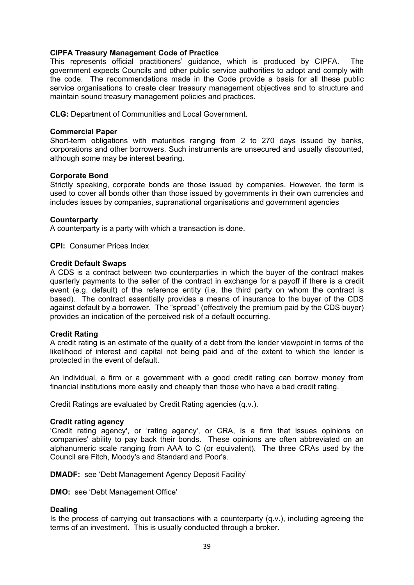#### **CIPFA Treasury Management Code of Practice**

This represents official practitioners' guidance, which is produced by CIPFA. The government expects Councils and other public service authorities to adopt and comply with the code. The recommendations made in the Code provide a basis for all these public service organisations to create clear treasury management objectives and to structure and maintain sound treasury management policies and practices.

**CLG:** Department of Communities and Local Government.

#### **Commercial Paper**

Short-term obligations with maturities ranging from 2 to 270 days issued by banks, corporations and other borrowers. Such instruments are unsecured and usually discounted, although some may be interest bearing.

#### **Corporate Bond**

Strictly speaking, corporate bonds are those issued by companies. However, the term is used to cover all bonds other than those issued by governments in their own currencies and includes issues by companies, supranational organisations and government agencies

#### **Counterparty**

A counterparty is a party with which a transaction is done.

**CPI:** Consumer Prices Index

#### **Credit Default Swaps**

A CDS is a contract between two counterparties in which the buyer of the contract makes quarterly payments to the seller of the contract in exchange for a payoff if there is a credit event (e.g. default) of the reference entity (i.e. the third party on whom the contract is based). The contract essentially provides a means of insurance to the buyer of the CDS against default by a borrower. The "spread" (effectively the premium paid by the CDS buyer) provides an indication of the perceived risk of a default occurring.

### **Credit Rating**

A credit rating is an estimate of the quality of a debt from the lender viewpoint in terms of the likelihood of interest and capital not being paid and of the extent to which the lender is protected in the event of default.

An individual, a firm or a government with a good credit rating can borrow money from financial institutions more easily and cheaply than those who have a bad credit rating.

Credit Ratings are evaluated by Credit Rating agencies (q.v.).

#### **Credit rating agency**

'Credit rating agency', or 'rating agency', or CRA, is a firm that issues opinions on companies' ability to pay back their bonds. These opinions are often abbreviated on an alphanumeric scale ranging from AAA to C (or equivalent). The three CRAs used by the Council are Fitch, Moody's and Standard and Poor's.

**DMADF:** see 'Debt Management Agency Deposit Facility'

**DMO:** see 'Debt Management Office'

#### **Dealing**

Is the process of carrying out transactions with a counterparty  $(q.v.)$ , including agreeing the terms of an investment. This is usually conducted through a broker.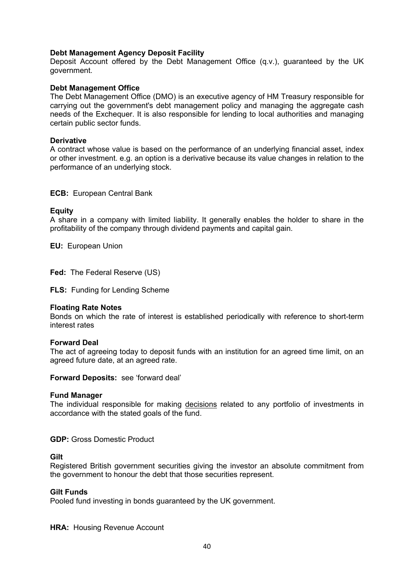#### **Debt Management Agency Deposit Facility**

Deposit Account offered by the Debt Management Office (q.v.), guaranteed by the UK government.

#### **Debt Management Office**

The Debt Management Office (DMO) is an executive agency of HM Treasury responsible for carrying out the government's debt management policy and managing the aggregate cash needs of the Exchequer. It is also responsible for lending to local authorities and managing certain public sector funds.

#### **Derivative**

A contract whose value is based on the performance of an underlying financial asset, index or other investment. e.g. an option is a derivative because its value changes in relation to the performance of an underlying stock.

#### **ECB:** European Central Bank

#### **Equity**

A share in a company with limited liability. It generally enables the holder to share in the profitability of the company through dividend payments and capital gain.

**EU:** European Union

**Fed:** The Federal Reserve (US)

**FLS:** Funding for Lending Scheme

#### **Floating Rate Notes**

Bonds on which the rate of interest is established periodically with reference to short-term interest rates

#### **Forward Deal**

The act of agreeing today to deposit funds with an institution for an agreed time limit, on an agreed future date, at an agreed rate.

#### **Forward Deposits:** see 'forward deal'

#### **Fund Manager**

The individual responsible for making decisions related to any portfolio of investments in accordance with the stated goals of the fund.

**GDP:** Gross Domestic Product

#### **Gilt**

Registered British government securities giving the investor an absolute commitment from the government to honour the debt that those securities represent.

#### **Gilt Funds**

Pooled fund investing in bonds guaranteed by the UK government.

**HRA: Housing Revenue Account**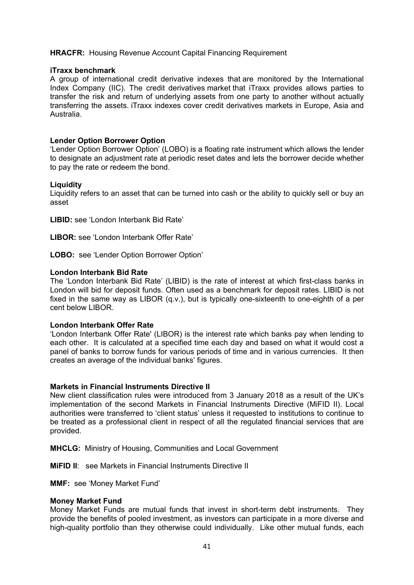#### **HRACFR:** Housing Revenue Account Capital Financing Requirement

#### **iTraxx benchmark**

A group of international credit derivative indexes that are monitored by the International Index Company (IIC). The credit derivatives market that iTraxx provides allows parties to transfer the risk and return of underlying assets from one party to another without actually transferring the assets. iTraxx indexes cover credit derivatives markets in Europe, Asia and Australia.

#### **Lender Option Borrower Option**

'Lender Option Borrower Option' (LOBO) is a floating rate instrument which allows the lender to designate an adjustment rate at periodic reset dates and lets the borrower decide whether to pay the rate or redeem the bond.

#### **Liquidity**

Liquidity refers to an asset that can be turned into cash or the ability to quickly sell or buy an asset

**LIBID:** see 'London Interbank Bid Rate'

**LIBOR:** see 'London Interbank Offer Rate'

**LOBO:** see 'Lender Option Borrower Option'

#### **London Interbank Bid Rate**

The 'London Interbank Bid Rate' (LIBID) is the rate of interest at which first-class banks in London will bid for deposit funds. Often used as a benchmark for deposit rates. LIBID is not fixed in the same way as LIBOR (q.v.), but is typically one-sixteenth to one-eighth of a per cent below LIBOR.

#### **London Interbank Offer Rate**

'London Interbank Offer Rate' (LIBOR) is the interest rate which banks pay when lending to each other. It is calculated at a specified time each day and based on what it would cost a panel of banks to borrow funds for various periods of time and in various currencies. It then creates an average of the individual banks' figures.

#### **Markets in Financial Instruments Directive II**

New client classification rules were introduced from 3 January 2018 as a result of the UK's implementation of the second Markets in Financial Instruments Directive (MiFID II). Local authorities were transferred to 'client status' unless it requested to institutions to continue to be treated as a professional client in respect of all the regulated financial services that are provided.

**MHCLG:** Ministry of Housing, Communities and Local Government

**MiFID II**: see Markets in Financial Instruments Directive II

**MMF:** see 'Money Market Fund'

#### **Money Market Fund**

Money Market Funds are mutual funds that invest in short-term debt instruments. They provide the benefits of pooled investment, as investors can participate in a more diverse and high-quality portfolio than they otherwise could individually. Like other mutual funds, each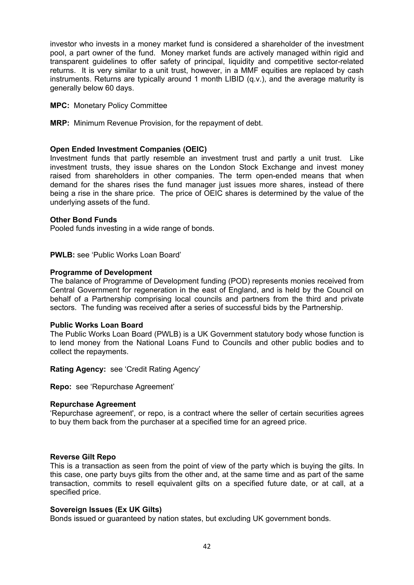investor who invests in a money market fund is considered a shareholder of the investment pool, a part owner of the fund. Money market funds are actively managed within rigid and transparent guidelines to offer safety of principal, liquidity and competitive sector-related returns. It is very similar to a unit trust, however, in a MMF equities are replaced by cash instruments. Returns are typically around 1 month LIBID (q.v.), and the average maturity is generally below 60 days.

#### **MPC:** Monetary Policy Committee

**MRP:** Minimum Revenue Provision, for the repayment of debt.

#### **Open Ended Investment Companies (OEIC)**

Investment funds that partly resemble an investment trust and partly a unit trust. Like investment trusts, they issue shares on the London Stock Exchange and invest money raised from shareholders in other companies. The term open-ended means that when demand for the shares rises the fund manager just issues more shares, instead of there being a rise in the share price. The price of OEIC shares is determined by the value of the underlying assets of the fund.

#### **Other Bond Funds**

Pooled funds investing in a wide range of bonds.

**PWLB:** see 'Public Works Loan Board'

#### **Programme of Development**

The balance of Programme of Development funding (POD) represents monies received from Central Government for regeneration in the east of England, and is held by the Council on behalf of a Partnership comprising local councils and partners from the third and private sectors. The funding was received after a series of successful bids by the Partnership.

#### **Public Works Loan Board**

The Public Works Loan Board (PWLB) is a UK Government statutory body whose function is to lend money from the National Loans Fund to Councils and other public bodies and to collect the repayments.

**Rating Agency:** see 'Credit Rating Agency'

**Repo:** see 'Repurchase Agreement'

#### **Repurchase Agreement**

'Repurchase agreement', or repo, is a contract where the seller of certain securities agrees to buy them back from the purchaser at a specified time for an agreed price.

#### **Reverse Gilt Repo**

This is a transaction as seen from the point of view of the party which is buying the gilts. In this case, one party buys gilts from the other and, at the same time and as part of the same transaction, commits to resell equivalent gilts on a specified future date, or at call, at a specified price.

#### **Sovereign Issues (Ex UK Gilts)**

Bonds issued or guaranteed by nation states, but excluding UK government bonds.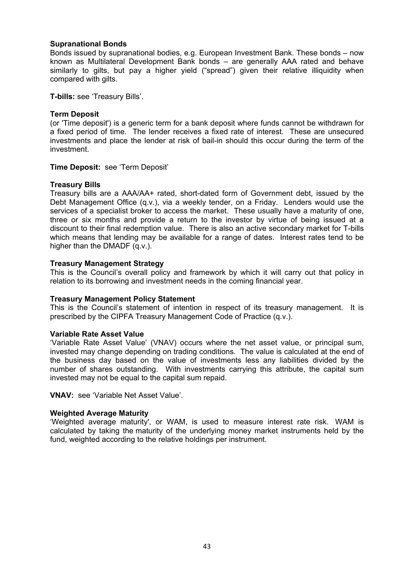#### **Supranational Bonds**

Bonds issued by supranational bodies, e.g. European Investment Bank. These bonds – now known as Multilateral Development Bank bonds – are generally AAA rated and behave similarly to gilts, but pay a higher yield ("spread") given their relative illiquidity when compared with gilts.

**T-bills:** see 'Treasury Bills'.

#### **Term Deposit**

(or 'Time deposit') is a generic term for a bank deposit where funds cannot be withdrawn for a fixed period of time. The lender receives a fixed rate of interest. These are unsecured investments and place the lender at risk of bail-in should this occur during the term of the investment.

#### **Time Deposit:** see 'Term Deposit'

#### **Treasury Bills**

Treasury bills are a AAA/AA+ rated, short-dated form of Government debt, issued by the Debt Management Office (q.v.), via a weekly tender, on a Friday. Lenders would use the services of a specialist broker to access the market. These usually have a maturity of one, three or six months and provide a return to the investor by virtue of being issued at a discount to their final redemption value. There is also an active secondary market for T-bills which means that lending may be available for a range of dates. Interest rates tend to be higher than the DMADF (q.v.).

#### **Treasury Management Strategy**

This is the Council's overall policy and framework by which it will carry out that policy in relation to its borrowing and investment needs in the coming financial year.

#### **Treasury Management Policy Statement**

This is the Council's statement of intention in respect of its treasury management. It is prescribed by the CIPFA Treasury Management Code of Practice (q.v.).

#### **Variable Rate Asset Value**

'Variable Rate Asset Value' (VNAV) occurs where the net asset value, or principal sum, invested may change depending on trading conditions. The value is calculated at the end of the business day based on the value of investments less any liabilities divided by the number of shares outstanding. With investments carrying this attribute, the capital sum invested may not be equal to the capital sum repaid.

**VNAV:** see 'Variable Net Asset Value'.

#### **Weighted Average Maturity**

'Weighted average maturity', or WAM, is used to measure interest rate risk. WAM is calculated by taking the maturity of the underlying money market instruments held by the fund, weighted according to the relative holdings per instrument.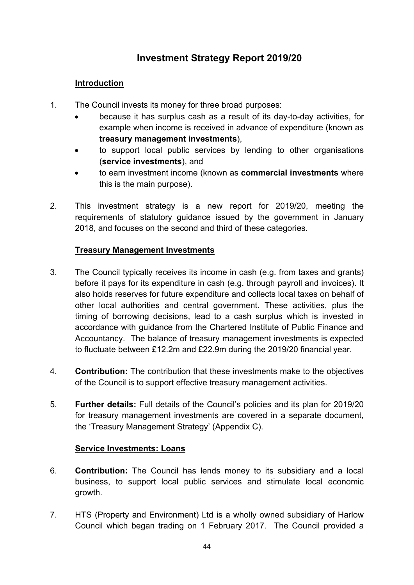# **Investment Strategy Report 2019/20**

# **Introduction**

- 1. The Council invests its money for three broad purposes:
	- because it has surplus cash as a result of its day-to-day activities, for example when income is received in advance of expenditure (known as **treasury management investments**),
	- to support local public services by lending to other organisations (**service investments**), and
	- to earn investment income (known as **commercial investments** where this is the main purpose).
- 2. This investment strategy is a new report for 2019/20, meeting the requirements of statutory guidance issued by the government in January 2018, and focuses on the second and third of these categories.

### **Treasury Management Investments**

- 3. The Council typically receives its income in cash (e.g. from taxes and grants) before it pays for its expenditure in cash (e.g. through payroll and invoices). It also holds reserves for future expenditure and collects local taxes on behalf of other local authorities and central government. These activities, plus the timing of borrowing decisions, lead to a cash surplus which is invested in accordance with guidance from the Chartered Institute of Public Finance and Accountancy. The balance of treasury management investments is expected to fluctuate between £12.2m and £22.9m during the 2019/20 financial year.
- 4. **Contribution:** The contribution that these investments make to the objectives of the Council is to support effective treasury management activities.
- 5. **Further details:** Full details of the Council's policies and its plan for 2019/20 for treasury management investments are covered in a separate document, the 'Treasury Management Strategy' (Appendix C).

### **Service Investments: Loans**

- 6. **Contribution:** The Council has lends money to its subsidiary and a local business, to support local public services and stimulate local economic growth.
- 7. HTS (Property and Environment) Ltd is a wholly owned subsidiary of Harlow Council which began trading on 1 February 2017. The Council provided a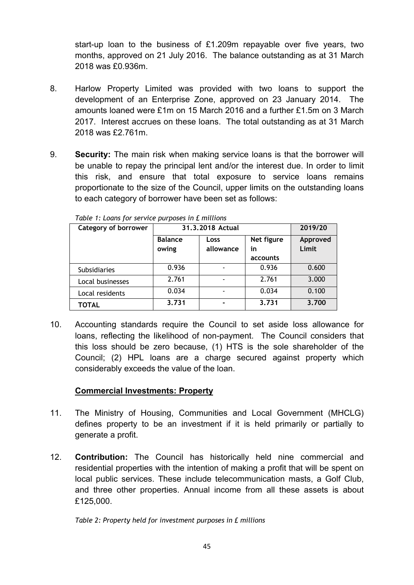start-up loan to the business of £1.209m repayable over five years, two months, approved on 21 July 2016. The balance outstanding as at 31 March 2018 was £0.936m.

- 8. Harlow Property Limited was provided with two loans to support the development of an Enterprise Zone, approved on 23 January 2014. The amounts loaned were £1m on 15 March 2016 and a further £1.5m on 3 March 2017. Interest accrues on these loans. The total outstanding as at 31 March 2018 was £2.761m.
- 9. **Security:** The main risk when making service loans is that the borrower will be unable to repay the principal lent and/or the interest due. In order to limit this risk, and ensure that total exposure to service loans remains proportionate to the size of the Council, upper limits on the outstanding loans to each category of borrower have been set as follows:

| Category of borrower | 31.3.2018 Actual |           |            | 2019/20  |
|----------------------|------------------|-----------|------------|----------|
|                      | <b>Balance</b>   | Loss      | Net figure | Approved |
|                      | owing            | allowance | in         | Limit    |
|                      |                  |           | accounts   |          |
| <b>Subsidiaries</b>  | 0.936            |           | 0.936      | 0.600    |
| Local businesses     | 2.761            |           | 2.761      | 3.000    |
| Local residents      | 0.034            |           | 0.034      | 0.100    |
| <b>TOTAL</b>         | 3.731            |           | 3.731      | 3.700    |

*Table 1: Loans for service purposes in £ millions*

10. Accounting standards require the Council to set aside loss allowance for loans, reflecting the likelihood of non-payment. The Council considers that this loss should be zero because, (1) HTS is the sole shareholder of the Council; (2) HPL loans are a charge secured against property which considerably exceeds the value of the loan.

# **Commercial Investments: Property**

- 11. The Ministry of Housing, Communities and Local Government (MHCLG) defines property to be an investment if it is held primarily or partially to generate a profit.
- 12. **Contribution:** The Council has historically held nine commercial and residential properties with the intention of making a profit that will be spent on local public services. These include telecommunication masts, a Golf Club, and three other properties. Annual income from all these assets is about £125,000.

*Table 2: Property held for investment purposes in £ millions*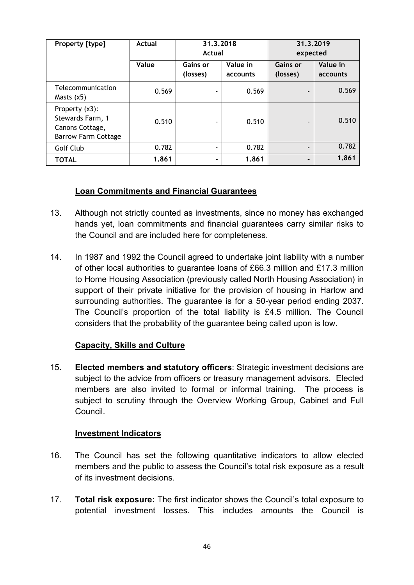| Property [type]                                                                     | Actual | 31.3.2018<br>Actual  |                      | 31.3.2019<br>expected       |                      |  |
|-------------------------------------------------------------------------------------|--------|----------------------|----------------------|-----------------------------|----------------------|--|
|                                                                                     | Value  | Gains or<br>(losses) | Value in<br>accounts | <b>Gains or</b><br>(losses) | Value in<br>accounts |  |
| Telecommunication<br>Masts $(x5)$                                                   | 0.569  |                      | 0.569                |                             | 0.569                |  |
| Property (x3):<br>Stewards Farm, 1<br>Canons Cottage,<br><b>Barrow Farm Cottage</b> | 0.510  |                      | 0.510                |                             | 0.510                |  |
| Golf Club                                                                           | 0.782  |                      | 0.782                | $\overline{\phantom{0}}$    | 0.782                |  |
| <b>TOTAL</b>                                                                        | 1.861  |                      | 1.861                | -                           | 1.861                |  |

# **Loan Commitments and Financial Guarantees**

- 13. Although not strictly counted as investments, since no money has exchanged hands yet, loan commitments and financial guarantees carry similar risks to the Council and are included here for completeness.
- 14. In 1987 and 1992 the Council agreed to undertake joint liability with a number of other local authorities to guarantee loans of £66.3 million and £17.3 million to Home Housing Association (previously called North Housing Association) in support of their private initiative for the provision of housing in Harlow and surrounding authorities. The guarantee is for a 50-year period ending 2037. The Council's proportion of the total liability is £4.5 million. The Council considers that the probability of the guarantee being called upon is low.

# **Capacity, Skills and Culture**

15. **Elected members and statutory officers**: Strategic investment decisions are subject to the advice from officers or treasury management advisors. Elected members are also invited to formal or informal training. The process is subject to scrutiny through the Overview Working Group, Cabinet and Full Council.

# **Investment Indicators**

- 16. The Council has set the following quantitative indicators to allow elected members and the public to assess the Council's total risk exposure as a result of its investment decisions.
- 17. **Total risk exposure:** The first indicator shows the Council's total exposure to potential investment losses. This includes amounts the Council is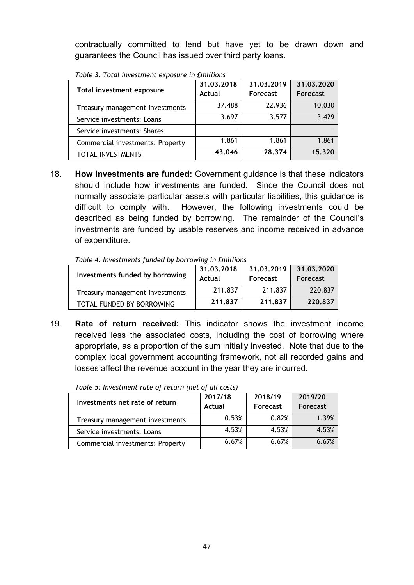contractually committed to lend but have yet to be drawn down and guarantees the Council has issued over third party loans.

| Total investment exposure        | 31.03.2018<br>Actual | 31.03.2019<br>Forecast | 31.03.2020<br><b>Forecast</b> |
|----------------------------------|----------------------|------------------------|-------------------------------|
| Treasury management investments  | 37.488               | 22.936                 | 10.030                        |
| Service investments: Loans       | 3.697                | 3.577                  | 3.429                         |
| Service investments: Shares      | -                    | -                      |                               |
| Commercial investments: Property | 1.861                | 1.861                  | 1.861                         |
| <b>TOTAL INVESTMENTS</b>         | 43.046               | 28.374                 | 15.320                        |

*Table 3: Total investment exposure in £millions*

18. **How investments are funded:** Government guidance is that these indicators should include how investments are funded. Since the Council does not normally associate particular assets with particular liabilities, this guidance is difficult to comply with. However, the following investments could be described as being funded by borrowing. The remainder of the Council's investments are funded by usable reserves and income received in advance of expenditure.

*Table 4: Investments funded by borrowing in £millions*

| Investments funded by borrowing | 31.03.2018<br>Actual | 31.03.2019<br>Forecast | 31.03.2020<br>Forecast |
|---------------------------------|----------------------|------------------------|------------------------|
| Treasury management investments | 211.837              | 211.837                | 220.837                |
| TOTAL FUNDED BY BORROWING       | 211.837              | 211.837                | 220.837                |

19. **Rate of return received:** This indicator shows the investment income received less the associated costs, including the cost of borrowing where appropriate, as a proportion of the sum initially invested. Note that due to the complex local government accounting framework, not all recorded gains and losses affect the revenue account in the year they are incurred.

| Investments net rate of return   | 2017/18 | 2018/19         | 2019/20         |
|----------------------------------|---------|-----------------|-----------------|
|                                  | Actual  | <b>Forecast</b> | <b>Forecast</b> |
| Treasury management investments  | 0.53%   | 0.82%           | 1.39%           |
| Service investments: Loans       | 4.53%   | 4.53%           | 4.53%           |
| Commercial investments: Property | 6.67%   | 6.67%           | 6 67%           |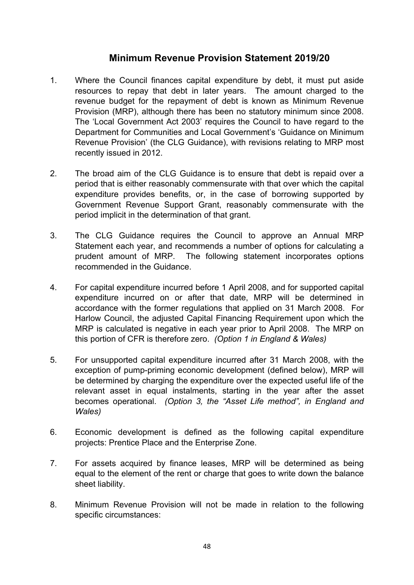# **Minimum Revenue Provision Statement 2019/20**

- 1. Where the Council finances capital expenditure by debt, it must put aside resources to repay that debt in later years. The amount charged to the revenue budget for the repayment of debt is known as Minimum Revenue Provision (MRP), although there has been no statutory minimum since 2008. The 'Local Government Act 2003' requires the Council to have regard to the Department for Communities and Local Government's 'Guidance on Minimum Revenue Provision' (the CLG Guidance), with revisions relating to MRP most recently issued in 2012.
- 2. The broad aim of the CLG Guidance is to ensure that debt is repaid over a period that is either reasonably commensurate with that over which the capital expenditure provides benefits, or, in the case of borrowing supported by Government Revenue Support Grant, reasonably commensurate with the period implicit in the determination of that grant.
- 3. The CLG Guidance requires the Council to approve an Annual MRP Statement each year, and recommends a number of options for calculating a prudent amount of MRP. The following statement incorporates options recommended in the Guidance.
- 4. For capital expenditure incurred before 1 April 2008, and for supported capital expenditure incurred on or after that date, MRP will be determined in accordance with the former regulations that applied on 31 March 2008. For Harlow Council, the adjusted Capital Financing Requirement upon which the MRP is calculated is negative in each year prior to April 2008. The MRP on this portion of CFR is therefore zero. *(Option 1 in England & Wales)*
- 5. For unsupported capital expenditure incurred after 31 March 2008, with the exception of pump-priming economic development (defined below), MRP will be determined by charging the expenditure over the expected useful life of the relevant asset in equal instalments, starting in the year after the asset becomes operational. *(Option 3, the "Asset Life method", in England and Wales)*
- 6. Economic development is defined as the following capital expenditure projects: Prentice Place and the Enterprise Zone.
- 7. For assets acquired by finance leases, MRP will be determined as being equal to the element of the rent or charge that goes to write down the balance sheet liability.
- 8. Minimum Revenue Provision will not be made in relation to the following specific circumstances: